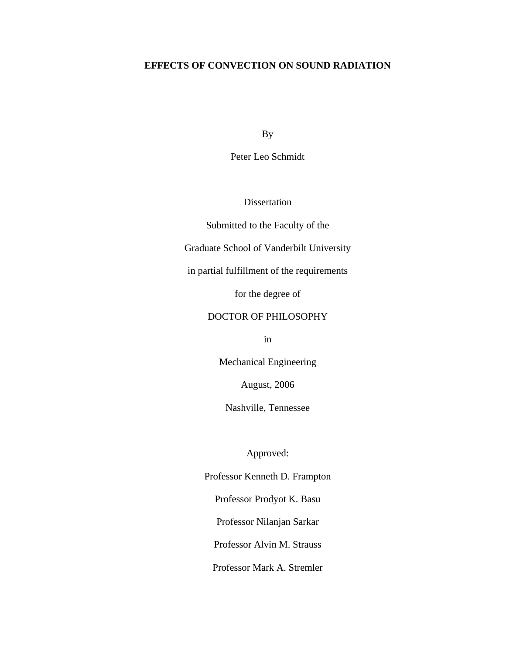# **EFFECTS OF CONVECTION ON SOUND RADIATION**

By

Peter Leo Schmidt

Dissertation

Submitted to the Faculty of the

Graduate School of Vanderbilt University

in partial fulfillment of the requirements

for the degree of

## DOCTOR OF PHILOSOPHY

in

Mechanical Engineering

August, 2006

Nashville, Tennessee

Approved:

Professor Kenneth D. Frampton Professor Prodyot K. Basu

Professor Nilanjan Sarkar

Professor Alvin M. Strauss

Professor Mark A. Stremler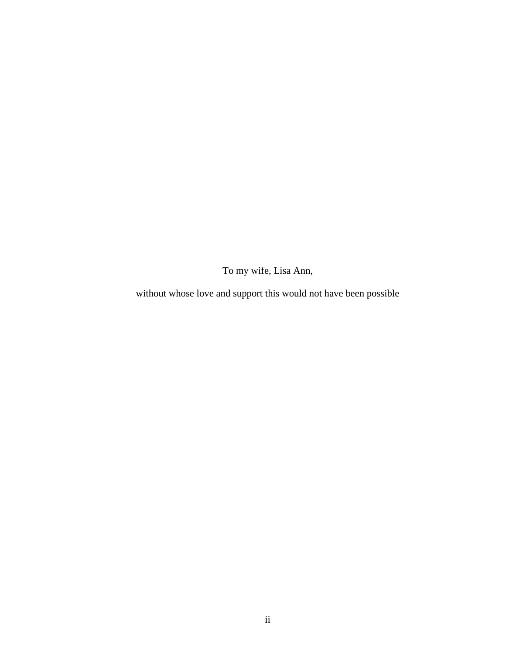To my wife, Lisa Ann,

without whose love and support this would not have been possible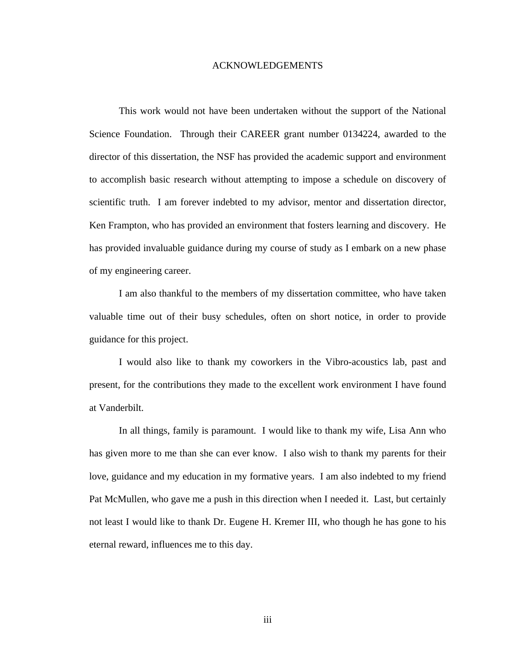### ACKNOWLEDGEMENTS

This work would not have been undertaken without the support of the National Science Foundation. Through their CAREER grant number 0134224, awarded to the director of this dissertation, the NSF has provided the academic support and environment to accomplish basic research without attempting to impose a schedule on discovery of scientific truth. I am forever indebted to my advisor, mentor and dissertation director, Ken Frampton, who has provided an environment that fosters learning and discovery. He has provided invaluable guidance during my course of study as I embark on a new phase of my engineering career.

I am also thankful to the members of my dissertation committee, who have taken valuable time out of their busy schedules, often on short notice, in order to provide guidance for this project.

I would also like to thank my coworkers in the Vibro-acoustics lab, past and present, for the contributions they made to the excellent work environment I have found at Vanderbilt.

In all things, family is paramount. I would like to thank my wife, Lisa Ann who has given more to me than she can ever know. I also wish to thank my parents for their love, guidance and my education in my formative years. I am also indebted to my friend Pat McMullen, who gave me a push in this direction when I needed it. Last, but certainly not least I would like to thank Dr. Eugene H. Kremer III, who though he has gone to his eternal reward, influences me to this day.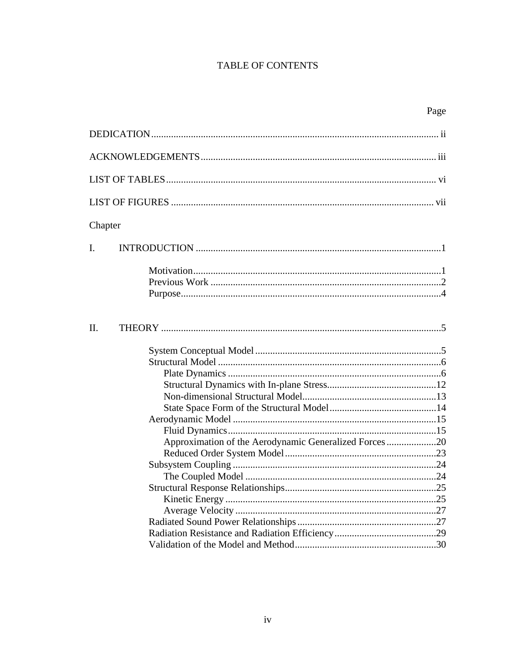# TABLE OF CONTENTS

|                                                       | Page |  |  |  |
|-------------------------------------------------------|------|--|--|--|
|                                                       |      |  |  |  |
|                                                       |      |  |  |  |
|                                                       |      |  |  |  |
|                                                       |      |  |  |  |
| Chapter                                               |      |  |  |  |
| $\mathbf{I}$ .                                        |      |  |  |  |
|                                                       |      |  |  |  |
| II.                                                   |      |  |  |  |
|                                                       |      |  |  |  |
|                                                       |      |  |  |  |
|                                                       |      |  |  |  |
| Approximation of the Aerodynamic Generalized Forces20 |      |  |  |  |
|                                                       |      |  |  |  |
|                                                       |      |  |  |  |
|                                                       |      |  |  |  |
|                                                       |      |  |  |  |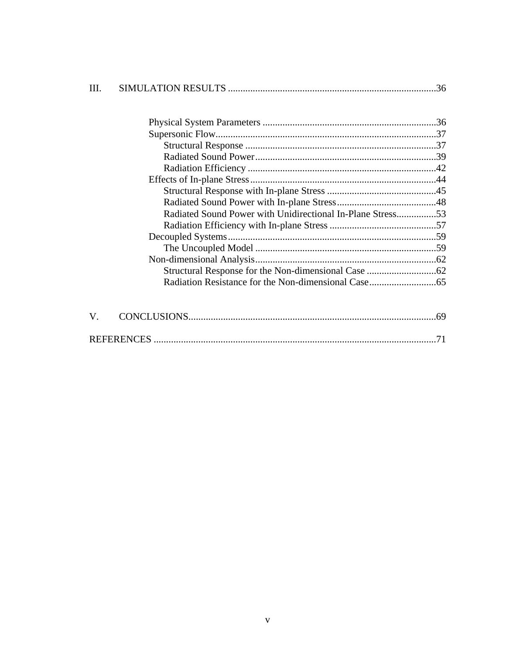| TH. |                                                            |     |
|-----|------------------------------------------------------------|-----|
|     |                                                            |     |
|     |                                                            |     |
|     |                                                            |     |
|     |                                                            |     |
|     |                                                            |     |
|     |                                                            |     |
|     |                                                            |     |
|     |                                                            |     |
|     | Radiated Sound Power with Unidirectional In-Plane Stress53 |     |
|     |                                                            |     |
|     |                                                            |     |
|     |                                                            |     |
|     |                                                            |     |
|     |                                                            |     |
|     |                                                            |     |
|     |                                                            |     |
| V.  |                                                            |     |
|     |                                                            | .71 |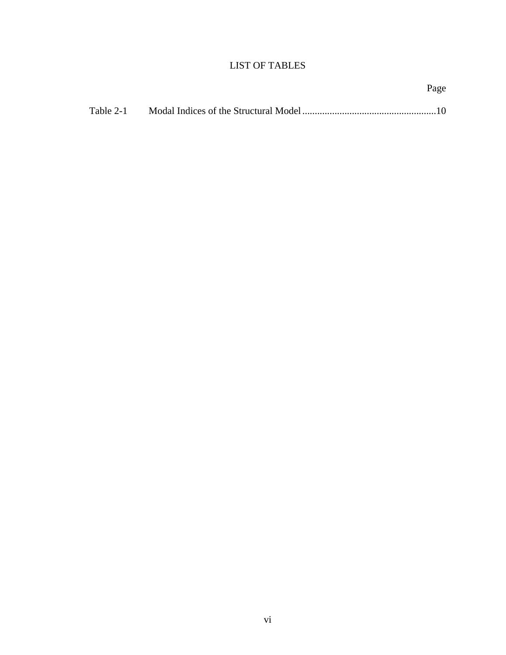# LIST OF TABLES

Page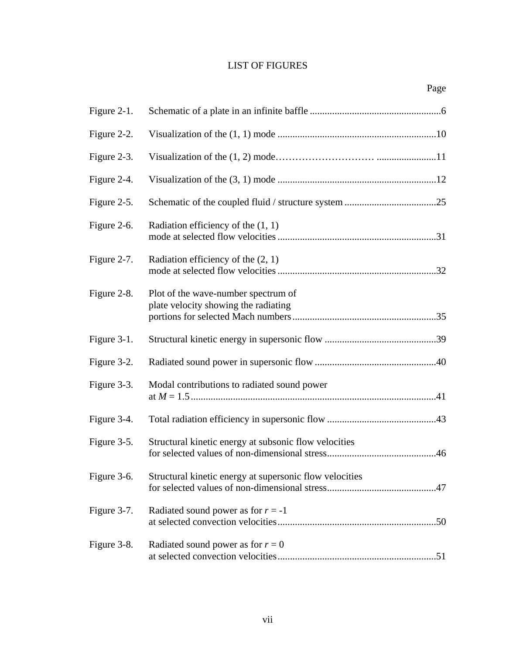# LIST OF FIGURES

| Figure 2-1. |                                                                             |
|-------------|-----------------------------------------------------------------------------|
| Figure 2-2. |                                                                             |
| Figure 2-3. |                                                                             |
| Figure 2-4. |                                                                             |
| Figure 2-5. |                                                                             |
| Figure 2-6. | Radiation efficiency of the $(1, 1)$                                        |
| Figure 2-7. | Radiation efficiency of the $(2, 1)$                                        |
| Figure 2-8. | Plot of the wave-number spectrum of<br>plate velocity showing the radiating |
| Figure 3-1. |                                                                             |
| Figure 3-2. |                                                                             |
| Figure 3-3. | Modal contributions to radiated sound power                                 |
| Figure 3-4. |                                                                             |
| Figure 3-5. | Structural kinetic energy at subsonic flow velocities                       |
|             | Figure 3-6. Structural kinetic energy at supersonic flow velocities         |
| Figure 3-7. | Radiated sound power as for $r = -1$                                        |
| Figure 3-8. | Radiated sound power as for $r = 0$                                         |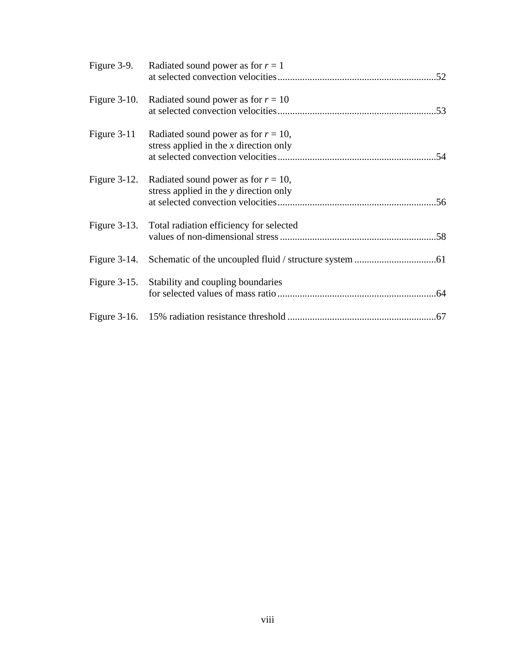|                 | Figure 3-9. Radiated sound power as for $r = 1$                                    |
|-----------------|------------------------------------------------------------------------------------|
| Figure $3-10$ . | Radiated sound power as for $r = 10$                                               |
| Figure $3-11$   | Radiated sound power as for $r = 10$ ,<br>stress applied in the $x$ direction only |
| Figure $3-12$ . | Radiated sound power as for $r = 10$ ,<br>stress applied in the y direction only   |
| Figure $3-13$ . | Total radiation efficiency for selected                                            |
| Figure $3-14$ . |                                                                                    |
|                 | Figure 3-15. Stability and coupling boundaries                                     |
|                 |                                                                                    |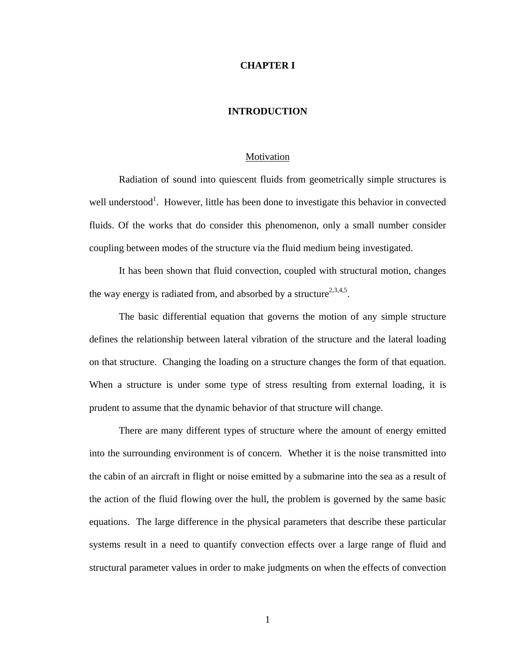### **CHAPTER I**

### **INTRODUCTION**

#### Motivation

Radiation of sound into quiescent fluids from geometrically simple structures is well understood<sup>1</sup>. However, little has been done to investigate this behavior in convected fluids. Of the works that do consider this phenomenon, only a small number consider coupling between modes of the structure via the fluid medium being investigated.

It has been shown that fluid convection, coupled with structural motion, changes the way energy is radiated from, and absorbed by a structure<sup>2,3,4,5</sup>.

The basic differential equation that governs the motion of any simple structure defines the relationship between lateral vibration of the structure and the lateral loading on that structure. Changing the loading on a structure changes the form of that equation. When a structure is under some type of stress resulting from external loading, it is prudent to assume that the dynamic behavior of that structure will change.

There are many different types of structure where the amount of energy emitted into the surrounding environment is of concern. Whether it is the noise transmitted into the cabin of an aircraft in flight or noise emitted by a submarine into the sea as a result of the action of the fluid flowing over the hull, the problem is governed by the same basic equations. The large difference in the physical parameters that describe these particular systems result in a need to quantify convection effects over a large range of fluid and structural parameter values in order to make judgments on when the effects of convection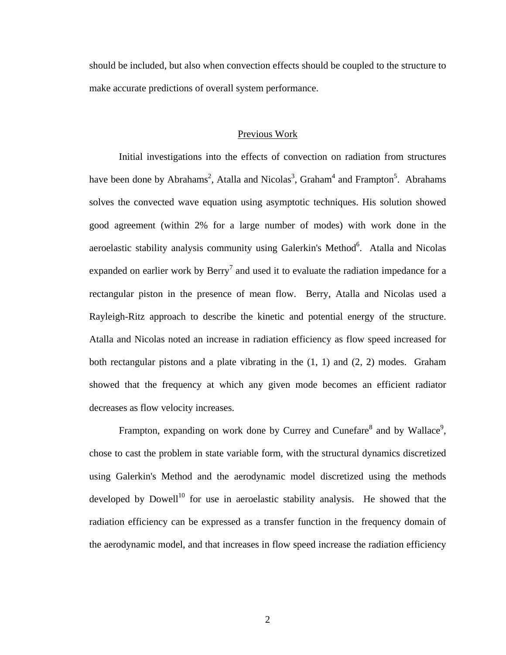should be included, but also when convection effects should be coupled to the structure to make accurate predictions of overall system performance.

### Previous Work

Initial investigations into the effects of convection on radiation from structures have been done by Abrahams<sup>2</sup>, Atalla and Nicolas<sup>3</sup>, Graham<sup>4</sup> and Frampton<sup>5</sup>. Abrahams solves the convected wave equation using asymptotic techniques. His solution showed good agreement (within 2% for a large number of modes) with work done in the aeroelastic stability analysis community using Galerkin's Method<sup>6</sup>. Atalla and Nicolas expanded on earlier work by  $\text{Berry}^7$  and used it to evaluate the radiation impedance for a rectangular piston in the presence of mean flow. Berry, Atalla and Nicolas used a Rayleigh-Ritz approach to describe the kinetic and potential energy of the structure. Atalla and Nicolas noted an increase in radiation efficiency as flow speed increased for both rectangular pistons and a plate vibrating in the  $(1, 1)$  and  $(2, 2)$  modes. Graham showed that the frequency at which any given mode becomes an efficient radiator decreases as flow velocity increases.

Frampton, expanding on work done by Currey and Cunefare $^8$  and by Wallace<sup>9</sup>, chose to cast the problem in state variable form, with the structural dynamics discretized using Galerkin's Method and the aerodynamic model discretized using the methods developed by Dowell<sup>10</sup> for use in aeroelastic stability analysis. He showed that the radiation efficiency can be expressed as a transfer function in the frequency domain of the aerodynamic model, and that increases in flow speed increase the radiation efficiency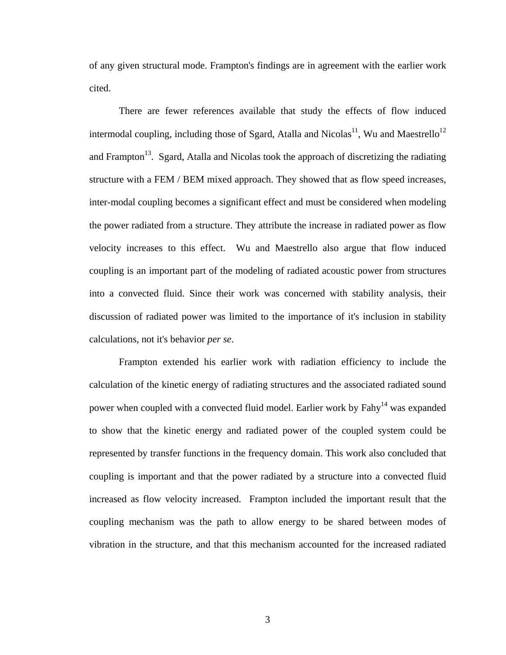of any given structural mode. Frampton's findings are in agreement with the earlier work cited.

There are fewer references available that study the effects of flow induced intermodal coupling, including those of Sgard, Atalla and Nicolas<sup>11</sup>, Wu and Maestrello<sup>12</sup> and Frampton<sup>13</sup>. Sgard, Atalla and Nicolas took the approach of discretizing the radiating structure with a FEM / BEM mixed approach. They showed that as flow speed increases, inter-modal coupling becomes a significant effect and must be considered when modeling the power radiated from a structure. They attribute the increase in radiated power as flow velocity increases to this effect. Wu and Maestrello also argue that flow induced coupling is an important part of the modeling of radiated acoustic power from structures into a convected fluid. Since their work was concerned with stability analysis, their discussion of radiated power was limited to the importance of it's inclusion in stability calculations, not it's behavior *per se*.

Frampton extended his earlier work with radiation efficiency to include the calculation of the kinetic energy of radiating structures and the associated radiated sound power when coupled with a convected fluid model. Earlier work by Fahy<sup>14</sup> was expanded to show that the kinetic energy and radiated power of the coupled system could be represented by transfer functions in the frequency domain. This work also concluded that coupling is important and that the power radiated by a structure into a convected fluid increased as flow velocity increased. Frampton included the important result that the coupling mechanism was the path to allow energy to be shared between modes of vibration in the structure, and that this mechanism accounted for the increased radiated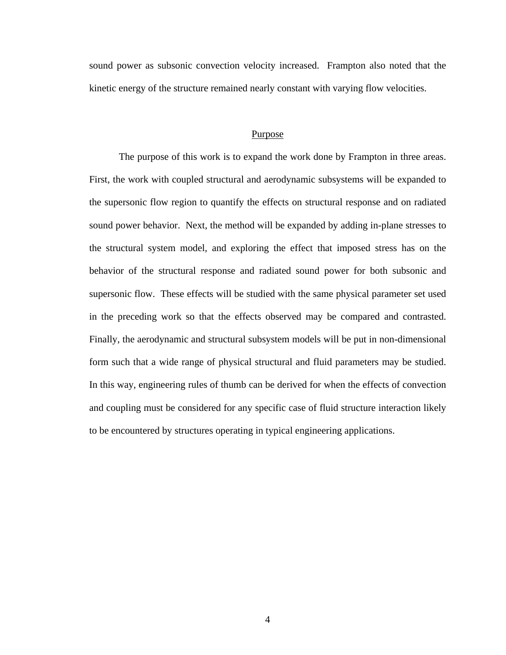sound power as subsonic convection velocity increased. Frampton also noted that the kinetic energy of the structure remained nearly constant with varying flow velocities.

#### Purpose

The purpose of this work is to expand the work done by Frampton in three areas. First, the work with coupled structural and aerodynamic subsystems will be expanded to the supersonic flow region to quantify the effects on structural response and on radiated sound power behavior. Next, the method will be expanded by adding in-plane stresses to the structural system model, and exploring the effect that imposed stress has on the behavior of the structural response and radiated sound power for both subsonic and supersonic flow. These effects will be studied with the same physical parameter set used in the preceding work so that the effects observed may be compared and contrasted. Finally, the aerodynamic and structural subsystem models will be put in non-dimensional form such that a wide range of physical structural and fluid parameters may be studied. In this way, engineering rules of thumb can be derived for when the effects of convection and coupling must be considered for any specific case of fluid structure interaction likely to be encountered by structures operating in typical engineering applications.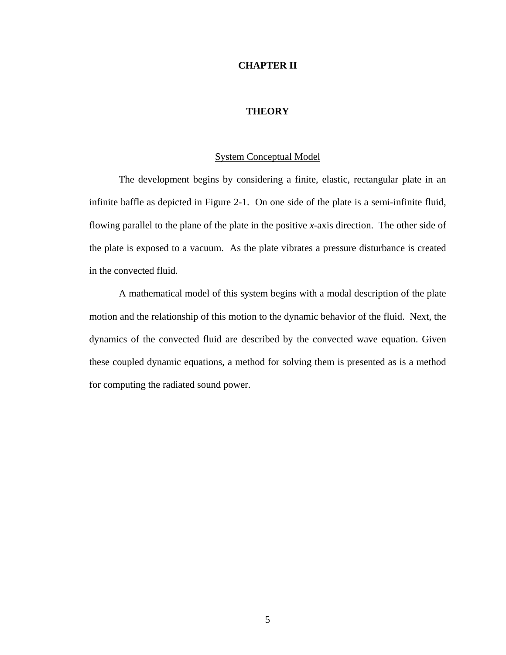### **CHAPTER II**

## **THEORY**

### System Conceptual Model

The development begins by considering a finite, elastic, rectangular plate in an infinite baffle as depicted in Figure 2-1. On one side of the plate is a semi-infinite fluid, flowing parallel to the plane of the plate in the positive *x*-axis direction. The other side of the plate is exposed to a vacuum. As the plate vibrates a pressure disturbance is created in the convected fluid.

A mathematical model of this system begins with a modal description of the plate motion and the relationship of this motion to the dynamic behavior of the fluid. Next, the dynamics of the convected fluid are described by the convected wave equation. Given these coupled dynamic equations, a method for solving them is presented as is a method for computing the radiated sound power.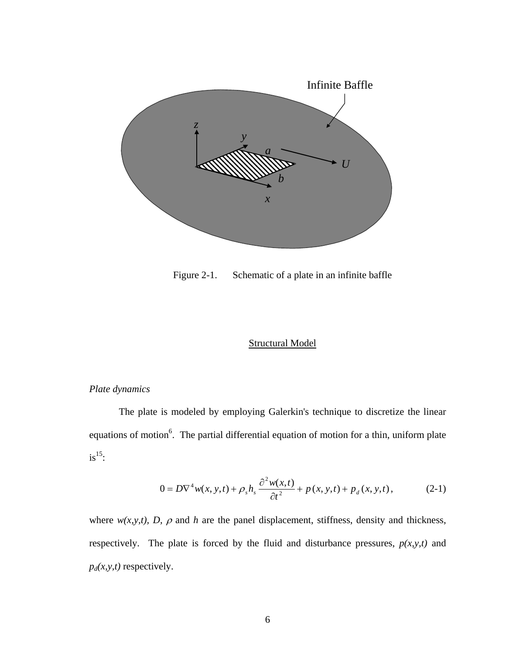

Figure 2-1. Schematic of a plate in an infinite baffle

# Structural Model

# *Plate dynamics*

The plate is modeled by employing Galerkin's technique to discretize the linear equations of motion<sup>6</sup>. The partial differential equation of motion for a thin, uniform plate  $is^{15}$ :

$$
0 = D\nabla^4 w(x, y, t) + \rho_s h_s \frac{\partial^2 w(x, t)}{\partial t^2} + p(x, y, t) + p_d(x, y, t), \qquad (2-1)
$$

where  $w(x, y, t)$ , *D*,  $\rho$  and *h* are the panel displacement, stiffness, density and thickness, respectively. The plate is forced by the fluid and disturbance pressures,  $p(x, y, t)$  and  $p_d(x, y, t)$  respectively.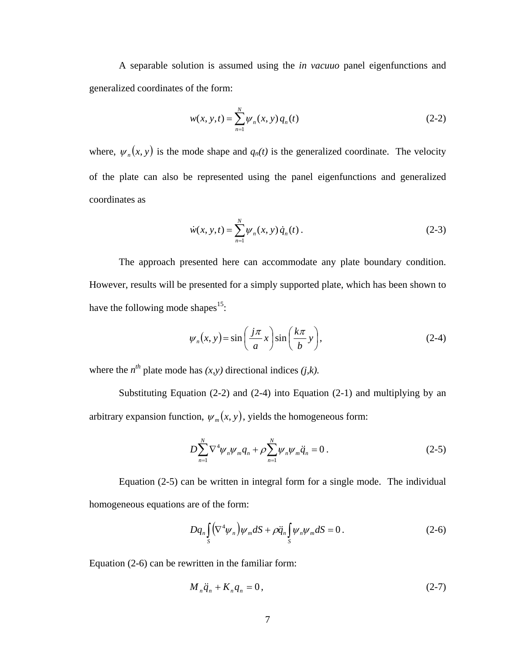A separable solution is assumed using the *in vacuuo* panel eigenfunctions and generalized coordinates of the form:

$$
w(x, y, t) = \sum_{n=1}^{N} \psi_n(x, y) q_n(t)
$$
 (2-2)

where,  $\psi_n(x, y)$  is the mode shape and  $q_n(t)$  is the generalized coordinate. The velocity of the plate can also be represented using the panel eigenfunctions and generalized coordinates as

$$
\dot{w}(x, y, t) = \sum_{n=1}^{N} \psi_n(x, y) \dot{q}_n(t).
$$
 (2-3)

The approach presented here can accommodate any plate boundary condition. However, results will be presented for a simply supported plate, which has been shown to have the following mode shapes $15$ :

$$
\psi_n(x, y) = \sin\left(\frac{j\pi}{a}x\right)\sin\left(\frac{k\pi}{b}y\right),\tag{2-4}
$$

where the  $n^{th}$  plate mode has  $(x, y)$  directional indices  $(j, k)$ .

Substituting Equation (2-2) and (2-4) into Equation (2-1) and multiplying by an arbitrary expansion function,  $\psi_m(x, y)$ , yields the homogeneous form:

$$
D\sum_{n=1}^{N}\nabla^{4}\psi_{n}\psi_{m}q_{n} + \rho\sum_{n=1}^{N}\psi_{n}\psi_{m}\ddot{q}_{n} = 0.
$$
 (2-5)

Equation (2-5) can be written in integral form for a single mode. The individual homogeneous equations are of the form:

$$
Dq_n \int_S (\nabla^4 \psi_n) \psi_m dS + \rho \ddot{q}_n \int_S \psi_n \psi_m dS = 0.
$$
 (2-6)

Equation (2-6) can be rewritten in the familiar form:

$$
M_n \ddot{q}_n + K_n q_n = 0, \qquad (2-7)
$$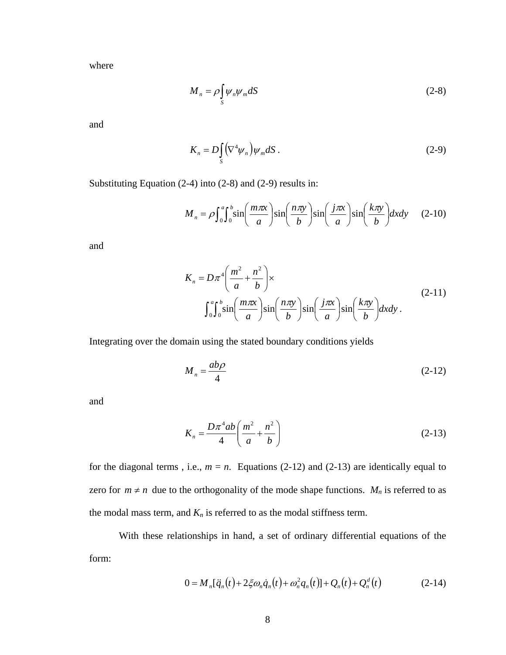where

$$
M_n = \rho \int_S \psi_n \psi_m dS \tag{2-8}
$$

and

$$
K_n = D \int_S (\nabla^4 \psi_n) \psi_m dS \,. \tag{2-9}
$$

Substituting Equation (2-4) into (2-8) and (2-9) results in:

$$
M_n = \rho \int_0^a \int_0^b \sin\left(\frac{m\pi x}{a}\right) \sin\left(\frac{n\pi y}{b}\right) \sin\left(\frac{j\pi x}{a}\right) \sin\left(\frac{k\pi y}{b}\right) dx dy \quad (2-10)
$$

and

$$
K_n = D\pi^4 \left(\frac{m^2}{a} + \frac{n^2}{b}\right) \times
$$
  

$$
\int_0^a \int_0^b \sin\left(\frac{m\pi x}{a}\right) \sin\left(\frac{n\pi y}{b}\right) \sin\left(\frac{j\pi x}{a}\right) \sin\left(\frac{k\pi y}{b}\right) dxdy.
$$
 (2-11)

Integrating over the domain using the stated boundary conditions yields

$$
M_n = \frac{ab\rho}{4} \tag{2-12}
$$

and

$$
K_n = \frac{D\pi^4 ab}{4} \left( \frac{m^2}{a} + \frac{n^2}{b} \right) \tag{2-13}
$$

for the diagonal terms, i.e.,  $m = n$ . Equations (2-12) and (2-13) are identically equal to zero for  $m \neq n$  due to the orthogonality of the mode shape functions.  $M_n$  is referred to as the modal mass term, and  $K_n$  is referred to as the modal stiffness term.

With these relationships in hand, a set of ordinary differential equations of the form:

$$
0 = M_n[\ddot{q}_n(t) + 2\xi\omega_n \dot{q}_n(t) + \omega_n^2 q_n(t)] + Q_n(t) + Q_n^d(t)
$$
 (2-14)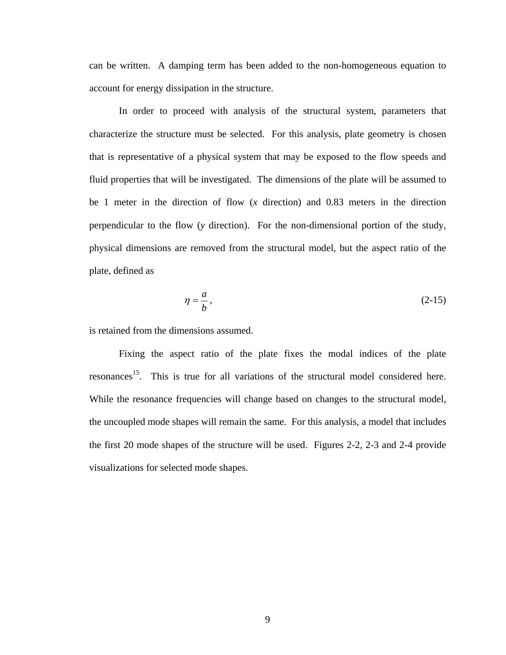can be written. A damping term has been added to the non-homogeneous equation to account for energy dissipation in the structure.

In order to proceed with analysis of the structural system, parameters that characterize the structure must be selected. For this analysis, plate geometry is chosen that is representative of a physical system that may be exposed to the flow speeds and fluid properties that will be investigated. The dimensions of the plate will be assumed to be 1 meter in the direction of flow (*x* direction) and 0.83 meters in the direction perpendicular to the flow (*y* direction). For the non-dimensional portion of the study, physical dimensions are removed from the structural model, but the aspect ratio of the plate, defined as

$$
\eta = \frac{a}{b},\tag{2-15}
$$

is retained from the dimensions assumed.

Fixing the aspect ratio of the plate fixes the modal indices of the plate resonances<sup>15</sup>. This is true for all variations of the structural model considered here. While the resonance frequencies will change based on changes to the structural model, the uncoupled mode shapes will remain the same. For this analysis, a model that includes the first 20 mode shapes of the structure will be used. Figures 2-2, 2-3 and 2-4 provide visualizations for selected mode shapes.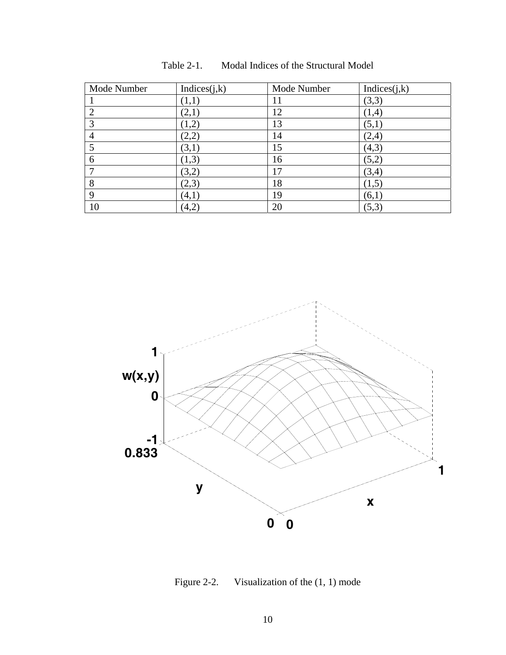| Mode Number  | Indices $(j,k)$ | Mode Number | Indices(j,k) |
|--------------|-----------------|-------------|--------------|
|              | (1,1)           | 11          | (3,3)        |
| ⌒            | (2,1)           | 12          | (1,4)        |
| 3            | (1,2)           | 13          | (5,1)        |
|              | (2,2)           | 14          | (2,4)        |
|              | (3,1)           | 15          | (4,3)        |
| 6            | (1,3)           | 16          | (5,2)        |
| $\mathbf{r}$ | (3,2)           | 17          | (3,4)        |
| 8            | (2,3)           | 18          | (1,5)        |
| $\mathbf Q$  | (4,1)           | 19          | (6,1)        |
| 10           | (4,2)           | 20          | (5,3)        |





Figure 2-2. Visualization of the (1, 1) mode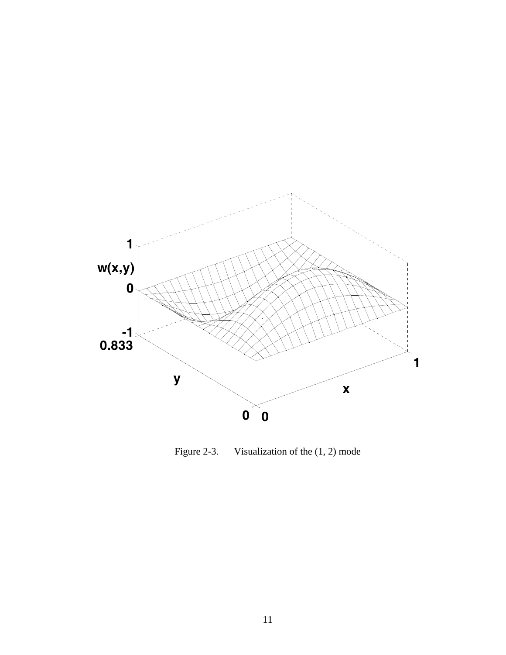

Figure 2-3. Visualization of the (1, 2) mode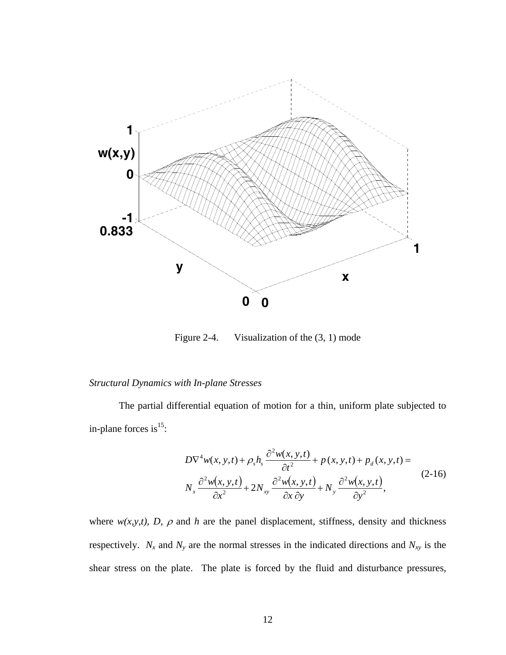

Figure 2-4. Visualization of the (3, 1) mode

# *Structural Dynamics with In-plane Stresses*

The partial differential equation of motion for a thin, uniform plate subjected to in-plane forces is $^{15}$ :

$$
D\nabla^4 w(x, y, t) + \rho_s h_s \frac{\partial^2 w(x, y, t)}{\partial t^2} + p(x, y, t) + p_d(x, y, t) =
$$
  

$$
N_x \frac{\partial^2 w(x, y, t)}{\partial x^2} + 2N_{xy} \frac{\partial^2 w(x, y, t)}{\partial x \partial y} + N_y \frac{\partial^2 w(x, y, t)}{\partial y^2},
$$
 (2-16)

where  $w(x, y, t)$ , *D*,  $\rho$  and *h* are the panel displacement, stiffness, density and thickness respectively.  $N_x$  and  $N_y$  are the normal stresses in the indicated directions and  $N_{xy}$  is the shear stress on the plate. The plate is forced by the fluid and disturbance pressures,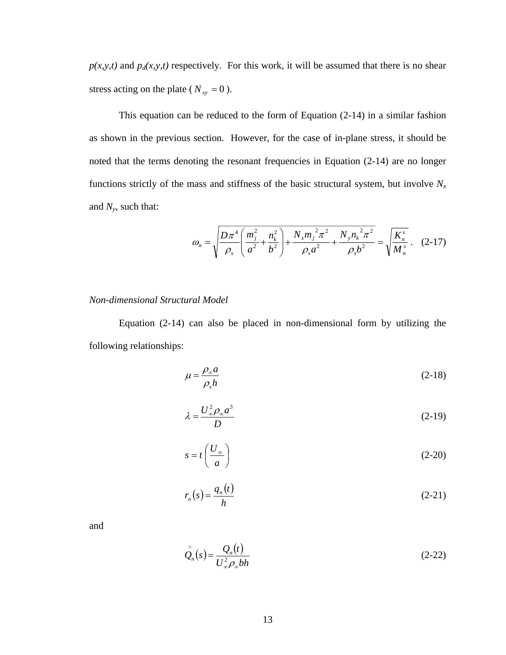$p(x, y, t)$  and  $p_d(x, y, t)$  respectively. For this work, it will be assumed that there is no shear stress acting on the plate ( $N_{xy} = 0$ ).

This equation can be reduced to the form of Equation (2-14) in a similar fashion as shown in the previous section. However, for the case of in-plane stress, it should be noted that the terms denoting the resonant frequencies in Equation (2-14) are no longer functions strictly of the mass and stiffness of the basic structural system, but involve  $N_x$ and *Ny*, such that:

$$
\omega_n = \sqrt{\frac{D\pi^4}{\rho_s} \left(\frac{m_j^2}{a^2} + \frac{n_k^2}{b^2}\right) + \frac{N_x m_j^2 \pi^2}{\rho_s a^2} + \frac{N_y n_k^2 \pi^2}{\rho_s b^2}} = \sqrt{\frac{K_n^s}{M_n^s}}. \quad (2-17)
$$

## *Non-dimensional Structural Model*

Equation (2-14) can also be placed in non-dimensional form by utilizing the following relationships:

$$
\mu = \frac{\rho_{\infty} a}{\rho_s h} \tag{2-18}
$$

$$
\lambda = \frac{U_{\infty}^2 \rho_{\infty} a^3}{D} \tag{2-19}
$$

$$
s = t \left(\frac{U_{\infty}}{a}\right) \tag{2-20}
$$

$$
r_n(s) = \frac{q_n(t)}{h} \tag{2-21}
$$

and

$$
\hat{\mathcal{Q}}_n(s) = \frac{\mathcal{Q}_n(t)}{U_{\infty}^2 \rho_{\infty} bh}
$$
\n(2-22)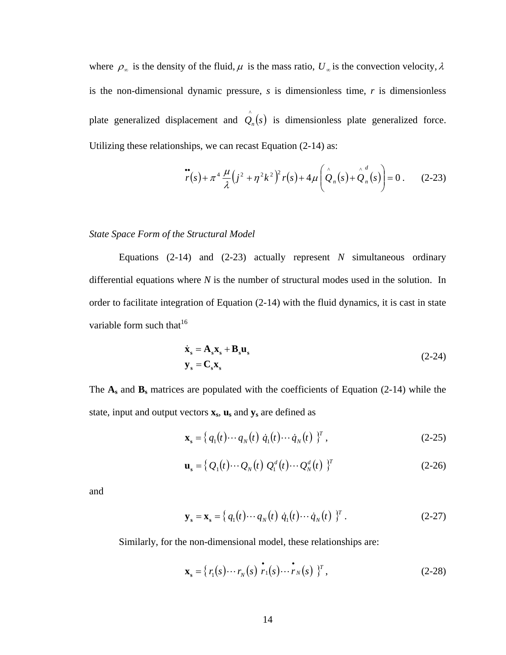where  $\rho_{\infty}$  is the density of the fluid,  $\mu$  is the mass ratio,  $U_{\infty}$  is the convection velocity,  $\lambda$ is the non-dimensional dynamic pressure, *s* is dimensionless time, *r* is dimensionless plate generalized displacement and  $\hat{Q}_n(s)$  is dimensionless plate generalized force. Utilizing these relationships, we can recast Equation (2-14) as:

$$
\ddot{r}(s) + \pi^4 \frac{\mu}{\lambda} (j^2 + \eta^2 k^2)^2 r(s) + 4\mu \left( \overset{\wedge}{\mathcal{Q}}_n(s) + \overset{\wedge}{\mathcal{Q}}_n^d(s) \right) = 0 \,. \tag{2-23}
$$

*State Space Form of the Structural Model* 

Equations (2-14) and (2-23) actually represent *N* simultaneous ordinary differential equations where *N* is the number of structural modes used in the solution. In order to facilitate integration of Equation (2-14) with the fluid dynamics, it is cast in state variable form such that  $16$ 

$$
\dot{\mathbf{x}}_s = \mathbf{A}_s \mathbf{x}_s + \mathbf{B}_s \mathbf{u}_s
$$
  
\n
$$
\mathbf{y}_s = \mathbf{C}_s \mathbf{x}_s
$$
 (2-24)

The **As** and **Bs** matrices are populated with the coefficients of Equation (2-14) while the state, input and output vectors  $\mathbf{x}_s$ ,  $\mathbf{u}_s$  and  $\mathbf{y}_s$  are defined as

$$
\mathbf{x}_s = \{ q_1(t) \cdots q_N(t) \dot{q}_1(t) \cdots \dot{q}_N(t) \}^T , \qquad (2-25)
$$

$$
\mathbf{u}_{s} = \left\{ Q_{1}(t) \cdots Q_{N}(t) Q_{1}^{d}(t) \cdots Q_{N}^{d}(t) \right\}^{T}
$$
 (2-26)

and

$$
\mathbf{y}_s = \mathbf{x}_s = \left\{ q_1(t) \cdots q_N(t) \dot{q}_1(t) \cdots \dot{q}_N(t) \right\}^T. \tag{2-27}
$$

Similarly, for the non-dimensional model, these relationships are:

$$
\mathbf{x}_s = \{ r_1(s) \cdots r_N(s) \stackrel{\bullet}{r_1}(s) \cdots \stackrel{\bullet}{r_N}(s) \}^T, \tag{2-28}
$$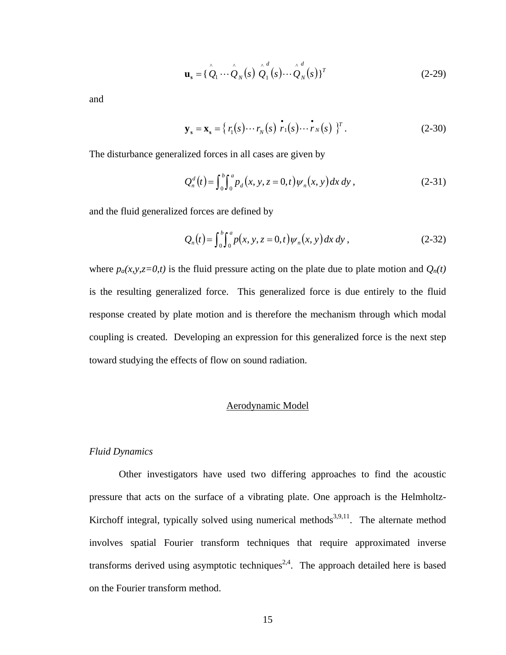$$
\mathbf{u}_s = \{\stackrel{\wedge}{Q}_1 \cdots \stackrel{\wedge}{Q}_N \infty \} \stackrel{\wedge}{Q}_1^d \in \mathfrak{g} \cdots \stackrel{\wedge}{Q}_N^d \in \mathfrak{g} \}^T
$$
 (2-29)

and

$$
\mathbf{y}_s = \mathbf{x}_s = \{ r_1(s) \cdots r_N(s) \stackrel{\bullet}{r_1(s)} \cdots \stackrel{\bullet}{r_N(s)} \}^T.
$$
 (2-30)

The disturbance generalized forces in all cases are given by

$$
Q_n^d(t) = \int_0^b \int_0^a p_d(x, y, z = 0, t) \psi_n(x, y) dx dy,
$$
 (2-31)

and the fluid generalized forces are defined by

$$
Q_n(t) = \int_0^b \int_0^a p(x, y, z = 0, t) \psi_n(x, y) dx dy,
$$
 (2-32)

where  $p_a(x, y, z=0,t)$  is the fluid pressure acting on the plate due to plate motion and  $Q_n(t)$ is the resulting generalized force. This generalized force is due entirely to the fluid response created by plate motion and is therefore the mechanism through which modal coupling is created. Developing an expression for this generalized force is the next step toward studying the effects of flow on sound radiation.

# Aerodynamic Model

### *Fluid Dynamics*

Other investigators have used two differing approaches to find the acoustic pressure that acts on the surface of a vibrating plate. One approach is the Helmholtz-Kirchoff integral, typically solved using numerical methods<sup>3,9,11</sup>. The alternate method involves spatial Fourier transform techniques that require approximated inverse transforms derived using asymptotic techniques<sup>2,4</sup>. The approach detailed here is based on the Fourier transform method.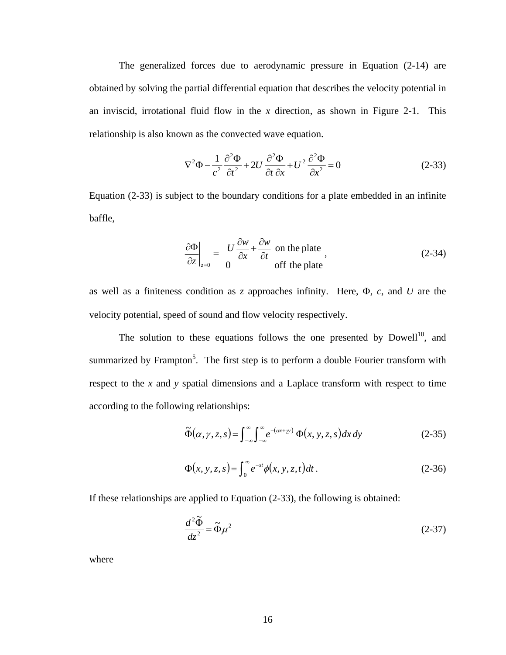The generalized forces due to aerodynamic pressure in Equation (2-14) are obtained by solving the partial differential equation that describes the velocity potential in an inviscid, irrotational fluid flow in the *x* direction, as shown in Figure 2-1. This relationship is also known as the convected wave equation.

$$
\nabla^2 \Phi - \frac{1}{c^2} \frac{\partial^2 \Phi}{\partial t^2} + 2U \frac{\partial^2 \Phi}{\partial t \partial x} + U^2 \frac{\partial^2 \Phi}{\partial x^2} = 0
$$
 (2-33)

Equation (2-33) is subject to the boundary conditions for a plate embedded in an infinite baffle,

$$
\left. \frac{\partial \Phi}{\partial z} \right|_{z=0} = \frac{U}{0} \frac{\partial w}{\partial x} + \frac{\partial w}{\partial t}
$$
 on the plate  
off the plate (2-34)

as well as a finiteness condition as *z* approaches infinity. Here, Φ, *c*, and *U* are the velocity potential, speed of sound and flow velocity respectively.

The solution to these equations follows the one presented by  $Dowell<sup>10</sup>$ , and summarized by Frampton<sup>5</sup>. The first step is to perform a double Fourier transform with respect to the *x* and *y* spatial dimensions and a Laplace transform with respect to time according to the following relationships:

$$
\widetilde{\Phi}(\alpha, \gamma, z, s) = \int_{-\infty}^{\infty} \int_{-\infty}^{\infty} e^{-(\alpha x + \gamma y)} \Phi(x, y, z, s) dx dy
$$
\n(2-35)

$$
\Phi(x, y, z, s) = \int_0^\infty e^{-st} \phi(x, y, z, t) dt.
$$
\n(2-36)

If these relationships are applied to Equation (2-33), the following is obtained:

$$
\frac{d^2\tilde{\Phi}}{dz^2} = \tilde{\Phi}\mu^2\tag{2-37}
$$

where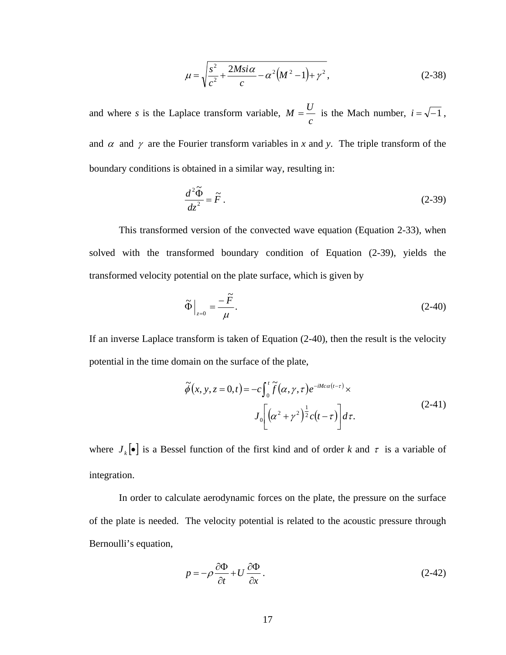$$
\mu = \sqrt{\frac{s^2}{c^2} + \frac{2Msi\alpha}{c} - \alpha^2 (M^2 - 1) + \gamma^2},
$$
\n(2-38)

and where *s* is the Laplace transform variable, *c*  $M = \frac{U}{i}$  is the Mach number,  $i = \sqrt{-1}$ , and  $\alpha$  and  $\gamma$  are the Fourier transform variables in *x* and *y*. The triple transform of the boundary conditions is obtained in a similar way, resulting in:

$$
\frac{d^2\tilde{\Phi}}{dz^2} = \tilde{F} \,. \tag{2-39}
$$

This transformed version of the convected wave equation (Equation 2-33), when solved with the transformed boundary condition of Equation (2-39), yields the transformed velocity potential on the plate surface, which is given by

$$
\tilde{\Phi}\Big|_{z=0} = -\frac{\tilde{F}}{\mu}.\tag{2-40}
$$

If an inverse Laplace transform is taken of Equation (2-40), then the result is the velocity potential in the time domain on the surface of the plate,

$$
\tilde{\phi}(x, y, z = 0, t) = -c \int_0^t \tilde{f}(\alpha, \gamma, \tau) e^{-iMc\alpha(t-\tau)} \times J_0 \left[ \left( \alpha^2 + \gamma^2 \right)^{\frac{1}{2}} c(t-\tau) \right] d\tau.
$$
\n(2-41)

where  $J_k[\bullet]$  is a Bessel function of the first kind and of order *k* and  $\tau$  is a variable of integration.

In order to calculate aerodynamic forces on the plate, the pressure on the surface of the plate is needed. The velocity potential is related to the acoustic pressure through Bernoulli's equation,

$$
p = -\rho \frac{\partial \Phi}{\partial t} + U \frac{\partial \Phi}{\partial x}.
$$
 (2-42)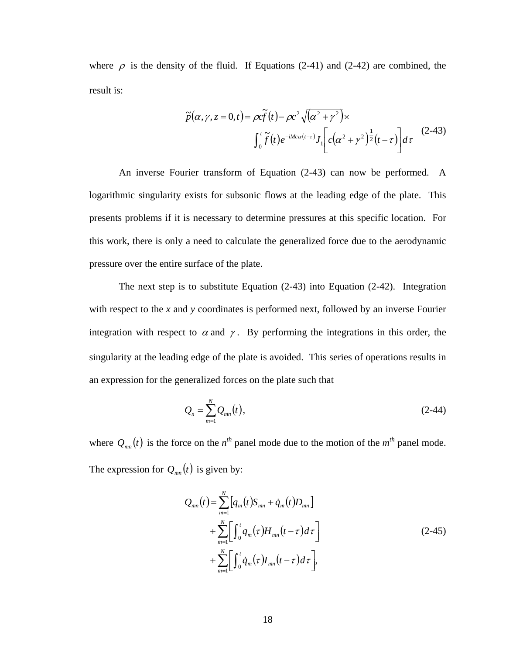where  $\rho$  is the density of the fluid. If Equations (2-41) and (2-42) are combined, the result is:

$$
\widetilde{p}(\alpha, \gamma, z = 0, t) = \rho c \widetilde{f}(t) - \rho c^2 \sqrt{(\alpha^2 + \gamma^2)} \times \int_0^t \widetilde{f}(t) e^{-iMc\alpha(t-\tau)} J_1 \left[ c(\alpha^2 + \gamma^2)^{\frac{1}{2}} (t-\tau) \right] d\tau \tag{2-43}
$$

An inverse Fourier transform of Equation (2-43) can now be performed. A logarithmic singularity exists for subsonic flows at the leading edge of the plate. This presents problems if it is necessary to determine pressures at this specific location. For this work, there is only a need to calculate the generalized force due to the aerodynamic pressure over the entire surface of the plate.

The next step is to substitute Equation (2-43) into Equation (2-42). Integration with respect to the *x* and *y* coordinates is performed next, followed by an inverse Fourier integration with respect to  $\alpha$  and  $\gamma$ . By performing the integrations in this order, the singularity at the leading edge of the plate is avoided. This series of operations results in an expression for the generalized forces on the plate such that

$$
Q_n = \sum_{m=1}^{N} Q_{mn}(t),
$$
 (2-44)

where  $Q_{mn}(t)$  is the force on the *n*<sup>th</sup> panel mode due to the motion of the *m*<sup>th</sup> panel mode. The expression for  $Q_{mn}(t)$  is given by:

$$
Q_{mn}(t) = \sum_{m=1}^{N} [q_m(t)S_{mn} + \dot{q}_m(t)D_{mn}]
$$
  
+ 
$$
\sum_{m=1}^{N} [ \int_0^t q_m(\tau)H_{mn}(t-\tau)d\tau ]
$$
  
+ 
$$
\sum_{m=1}^{N} [ \int_0^t \dot{q}_m(\tau)I_{mn}(t-\tau)d\tau ],
$$
 (2-45)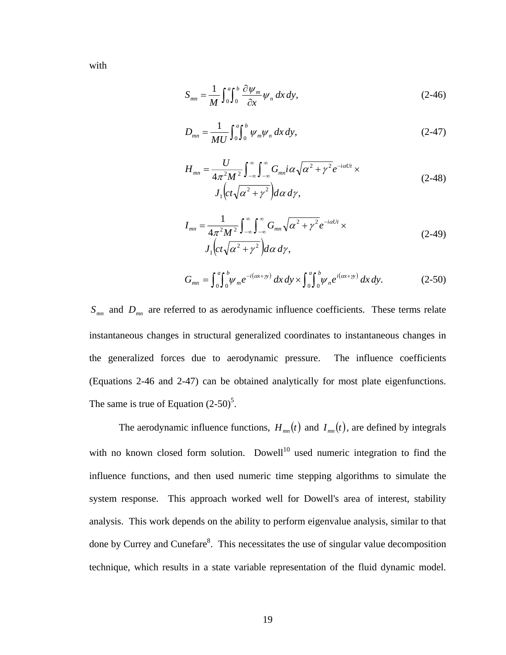$$
S_{mn} = \frac{1}{M} \int_0^a \int_0^b \frac{\partial \psi_m}{\partial x} \psi_n \, dx \, dy,\tag{2-46}
$$

$$
D_{mn} = \frac{1}{MU} \int_0^a \int_0^b \psi_m \psi_n \, dx \, dy,\tag{2-47}
$$

$$
H_{mn} = \frac{U}{4\pi^2 M^2} \int_{-\infty}^{\infty} \int_{-\infty}^{\infty} G_{mn} i\alpha \sqrt{\alpha^2 + \gamma^2} e^{-i\alpha U t} \times
$$
  
\n
$$
J_1 \Big( ct\sqrt{\alpha^2 + \gamma^2} \Big) d\alpha \, d\gamma,
$$
\n(2-48)

$$
I_{mn} = \frac{1}{4\pi^2 M^2} \int_{-\infty}^{\infty} \int_{-\infty}^{\infty} G_{mn} \sqrt{\alpha^2 + \gamma^2} e^{-i\alpha U t} \times
$$
  
\n
$$
J_1 \Big( ct \sqrt{\alpha^2 + \gamma^2} \Big) d\alpha \, d\gamma,
$$
\n(2-49)

$$
G_{mn} = \int_0^a \int_0^b \psi_m e^{-i(\alpha x + \gamma y)} dx dy \times \int_0^a \int_0^b \psi_n e^{i(\alpha x + \gamma y)} dx dy.
$$
 (2-50)

*Smn* and *Dmn* are referred to as aerodynamic influence coefficients. These terms relate instantaneous changes in structural generalized coordinates to instantaneous changes in the generalized forces due to aerodynamic pressure. The influence coefficients (Equations 2-46 and 2-47) can be obtained analytically for most plate eigenfunctions. The same is true of Equation  $(2-50)^5$ .

The aerodynamic influence functions,  $H_{mn}(t)$  and  $I_{mn}(t)$ , are defined by integrals with no known closed form solution. Dowell<sup>10</sup> used numeric integration to find the influence functions, and then used numeric time stepping algorithms to simulate the system response. This approach worked well for Dowell's area of interest, stability analysis. This work depends on the ability to perform eigenvalue analysis, similar to that done by Currey and Cunefare<sup>8</sup>. This necessitates the use of singular value decomposition technique, which results in a state variable representation of the fluid dynamic model.

with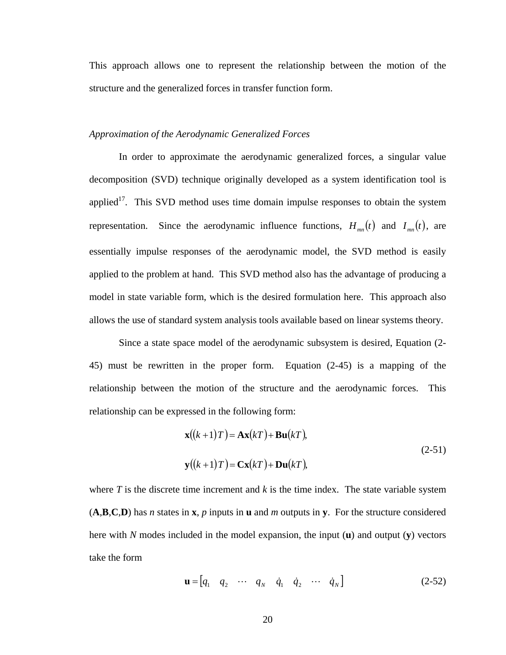This approach allows one to represent the relationship between the motion of the structure and the generalized forces in transfer function form.

## *Approximation of the Aerodynamic Generalized Forces*

In order to approximate the aerodynamic generalized forces, a singular value decomposition (SVD) technique originally developed as a system identification tool is applied<sup>17</sup>. This SVD method uses time domain impulse responses to obtain the system representation. Since the aerodynamic influence functions,  $H_{mn}(t)$  and  $I_{mn}(t)$ , are essentially impulse responses of the aerodynamic model, the SVD method is easily applied to the problem at hand. This SVD method also has the advantage of producing a model in state variable form, which is the desired formulation here. This approach also allows the use of standard system analysis tools available based on linear systems theory.

Since a state space model of the aerodynamic subsystem is desired, Equation (2- 45) must be rewritten in the proper form. Equation (2-45) is a mapping of the relationship between the motion of the structure and the aerodynamic forces. This relationship can be expressed in the following form:

$$
\mathbf{x}((k+1)T) = \mathbf{A}\mathbf{x}(kT) + \mathbf{B}\mathbf{u}(kT),
$$
  
\n
$$
\mathbf{y}((k+1)T) = \mathbf{C}\mathbf{x}(kT) + \mathbf{D}\mathbf{u}(kT),
$$
\n(2-51)

where  $T$  is the discrete time increment and  $k$  is the time index. The state variable system (**A**,**B**,**C**,**D**) has *n* states in **x**, *p* inputs in **u** and *m* outputs in **y**. For the structure considered here with *N* modes included in the model expansion, the input (**u**) and output (**y**) vectors take the form

$$
\mathbf{u} = \begin{bmatrix} q_1 & q_2 & \cdots & q_N & \dot{q}_1 & \dot{q}_2 & \cdots & \dot{q}_N \end{bmatrix}
$$
 (2-52)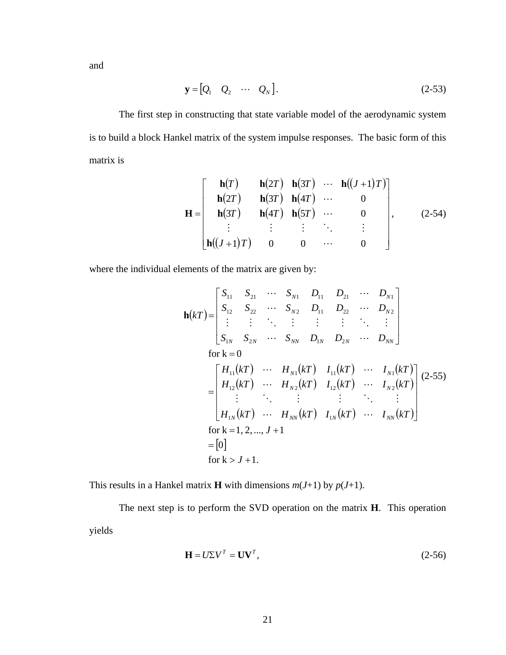and

$$
\mathbf{y} = \begin{bmatrix} Q_1 & Q_2 & \cdots & Q_N \end{bmatrix} . \tag{2-53}
$$

The first step in constructing that state variable model of the aerodynamic system is to build a block Hankel matrix of the system impulse responses. The basic form of this matrix is

$$
\mathbf{H} = \begin{bmatrix} \mathbf{h}(T) & \mathbf{h}(2T) & \mathbf{h}(3T) & \cdots & \mathbf{h}((J+1)T) \\ \mathbf{h}(2T) & \mathbf{h}(3T) & \mathbf{h}(4T) & \cdots & 0 \\ \mathbf{h}(3T) & \mathbf{h}(4T) & \mathbf{h}(5T) & \cdots & 0 \\ \vdots & \vdots & \vdots & \ddots & \vdots \\ \mathbf{h}((J+1)T) & 0 & 0 & \cdots & 0 \end{bmatrix}, \qquad (2-54)
$$

where the individual elements of the matrix are given by:

$$
\mathbf{h}(kT) = \begin{bmatrix} S_{11} & S_{21} & \cdots & S_{N1} & D_{11} & D_{21} & \cdots & D_{N1} \\ S_{12} & S_{22} & \cdots & S_{N2} & D_{11} & D_{22} & \cdots & D_{N2} \\ \vdots & \vdots & \ddots & \vdots & \vdots & \ddots & \vdots \\ S_{1N} & S_{2N} & \cdots & S_{NN} & D_{1N} & D_{2N} & \cdots & D_{NN} \end{bmatrix}
$$
\n
$$
\text{for } k = 0
$$
\n
$$
= \begin{bmatrix} H_{11}(kT) & \cdots & H_{N1}(kT) & I_{11}(kT) & \cdots & I_{N1}(kT) \\ H_{12}(kT) & \cdots & H_{N2}(kT) & I_{12}(kT) & \cdots & I_{N2}(kT) \\ \vdots & \ddots & \vdots & \vdots & \ddots & \vdots \\ H_{1N}(kT) & \cdots & H_{NN}(kT) & I_{1N}(kT) & \cdots & I_{NN}(kT) \end{bmatrix} (2-55)
$$
\n
$$
\text{for } k = 1, 2, \dots, J + 1
$$
\n
$$
= [0]
$$
\n
$$
\text{for } k > J + 1.
$$

This results in a Hankel matrix **H** with dimensions  $m(J+1)$  by  $p(J+1)$ .

The next step is to perform the SVD operation on the matrix **H**. This operation yields

$$
\mathbf{H} = U\Sigma V^T = \mathbf{U}\mathbf{V}^T,\tag{2-56}
$$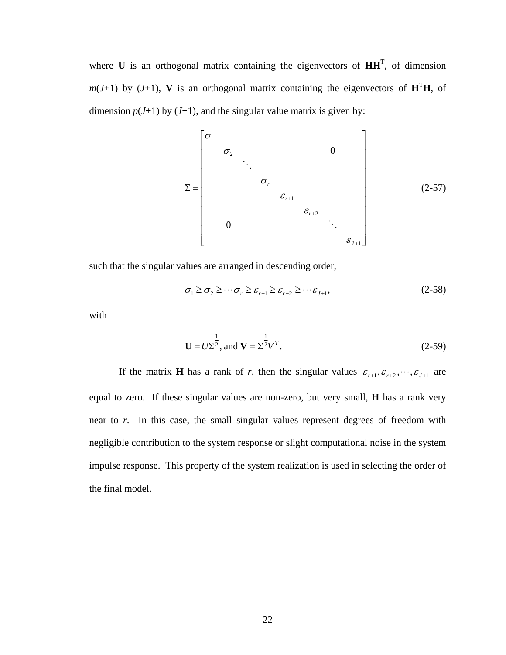where  $\bf{U}$  is an orthogonal matrix containing the eigenvectors of  $\bf{H} \bf{H}$ <sup>T</sup>, of dimension  $m(J+1)$  by  $(J+1)$ , **V** is an orthogonal matrix containing the eigenvectors of  $H<sup>T</sup>H$ , of dimension  $p(J+1)$  by  $(J+1)$ , and the singular value matrix is given by:

$$
\Sigma = \begin{bmatrix} \sigma_1 & & & & & & & 0 \\ & \sigma_2 & & & & & & & \\ & & \ddots & & & & & & \\ & & & & \sigma_r & & & & \\ & & & & & & \varepsilon_{r+1} & & \\ & & & & & & & \varepsilon_{r+2} & & \\ & & & & & & & & \varepsilon_{r+1} \end{bmatrix}
$$
 (2-57)

such that the singular values are arranged in descending order,

$$
\sigma_1 \ge \sigma_2 \ge \cdots \sigma_r \ge \varepsilon_{r+1} \ge \varepsilon_{r+2} \ge \cdots \varepsilon_{J+1},\tag{2-58}
$$

with

$$
\mathbf{U} = U\Sigma^{\frac{1}{2}}, \text{ and } \mathbf{V} = \Sigma^{\frac{1}{2}}V^{T}.
$$
 (2-59)

If the matrix **H** has a rank of *r*, then the singular values  $\varepsilon_{r+1}, \varepsilon_{r+2}, \dots, \varepsilon_{J+1}$  are equal to zero. If these singular values are non-zero, but very small, **H** has a rank very near to *r*. In this case, the small singular values represent degrees of freedom with negligible contribution to the system response or slight computational noise in the system impulse response. This property of the system realization is used in selecting the order of the final model.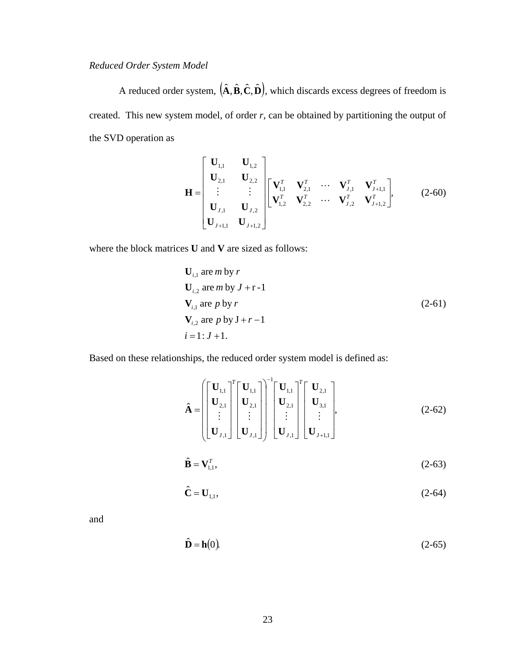# *Reduced Order System Model*

A reduced order system,  $(\hat{\mathbf{A}}, \hat{\mathbf{B}}, \hat{\mathbf{C}}, \hat{\mathbf{D}})$ , which discards excess degrees of freedom is created. This new system model, of order *r*, can be obtained by partitioning the output of the SVD operation as

$$
\mathbf{H} = \begin{bmatrix} \mathbf{U}_{1,1} & \mathbf{U}_{1,2} \\ \mathbf{U}_{2,1} & \mathbf{U}_{2,2} \\ \vdots & \vdots \\ \mathbf{U}_{J,1} & \mathbf{U}_{J,2} \\ \mathbf{U}_{J+1,1} & \mathbf{U}_{J+1,2} \end{bmatrix} \begin{bmatrix} \mathbf{V}_{1,1}^T & \mathbf{V}_{2,1}^T & \cdots & \mathbf{V}_{J,1}^T & \mathbf{V}_{J+1,1}^T \\ \mathbf{V}_{1,2}^T & \mathbf{V}_{2,2}^T & \cdots & \mathbf{V}_{J,2}^T & \mathbf{V}_{J+1,2}^T \end{bmatrix},
$$
 (2-60)

where the block matrices **U** and **V** are sized as follows:

$$
\mathbf{U}_{i,1} \text{ are } m \text{ by } r
$$
\n
$$
\mathbf{U}_{i,2} \text{ are } m \text{ by } J + r - 1
$$
\n
$$
\mathbf{V}_{i,1} \text{ are } p \text{ by } r
$$
\n
$$
\mathbf{V}_{i,2} \text{ are } p \text{ by } J + r - 1
$$
\n
$$
i = 1: J + 1.
$$
\n(2-61)

Based on these relationships, the reduced order system model is defined as:

$$
\hat{\mathbf{A}} = \begin{bmatrix} \mathbf{U}_{1,1} \\ \mathbf{U}_{2,1} \\ \vdots \\ \mathbf{U}_{J,1} \end{bmatrix}^T \begin{bmatrix} \mathbf{U}_{1,1} \\ \mathbf{U}_{2,1} \\ \vdots \\ \mathbf{U}_{J,1} \end{bmatrix}^{-1} \begin{bmatrix} \mathbf{U}_{1,1} \\ \mathbf{U}_{2,1} \\ \vdots \\ \mathbf{U}_{J,1} \end{bmatrix}^T \begin{bmatrix} \mathbf{U}_{2,1} \\ \mathbf{U}_{3,1} \\ \vdots \\ \mathbf{U}_{J+1,1} \end{bmatrix},
$$
\n(2-62)

$$
\hat{\mathbf{B}} = \mathbf{V}_{1,1}^T,\tag{2-63}
$$

$$
\hat{\mathbf{C}} = \mathbf{U}_{1,1},\tag{2-64}
$$

and

$$
\hat{\mathbf{D}} = \mathbf{h}(0). \tag{2-65}
$$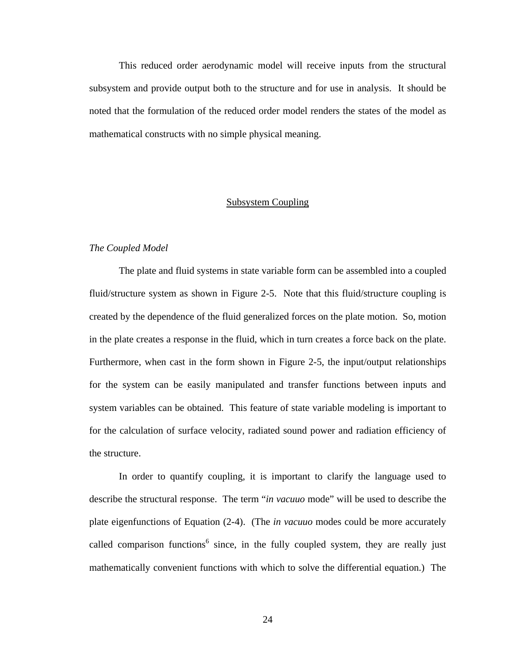This reduced order aerodynamic model will receive inputs from the structural subsystem and provide output both to the structure and for use in analysis. It should be noted that the formulation of the reduced order model renders the states of the model as mathematical constructs with no simple physical meaning.

## Subsystem Coupling

### *The Coupled Model*

The plate and fluid systems in state variable form can be assembled into a coupled fluid/structure system as shown in Figure 2-5. Note that this fluid/structure coupling is created by the dependence of the fluid generalized forces on the plate motion. So, motion in the plate creates a response in the fluid, which in turn creates a force back on the plate. Furthermore, when cast in the form shown in Figure 2-5, the input/output relationships for the system can be easily manipulated and transfer functions between inputs and system variables can be obtained. This feature of state variable modeling is important to for the calculation of surface velocity, radiated sound power and radiation efficiency of the structure.

In order to quantify coupling, it is important to clarify the language used to describe the structural response. The term "*in vacuuo* mode" will be used to describe the plate eigenfunctions of Equation (2-4). (The *in vacuuo* modes could be more accurately called comparison functions<sup>6</sup> since, in the fully coupled system, they are really just mathematically convenient functions with which to solve the differential equation.) The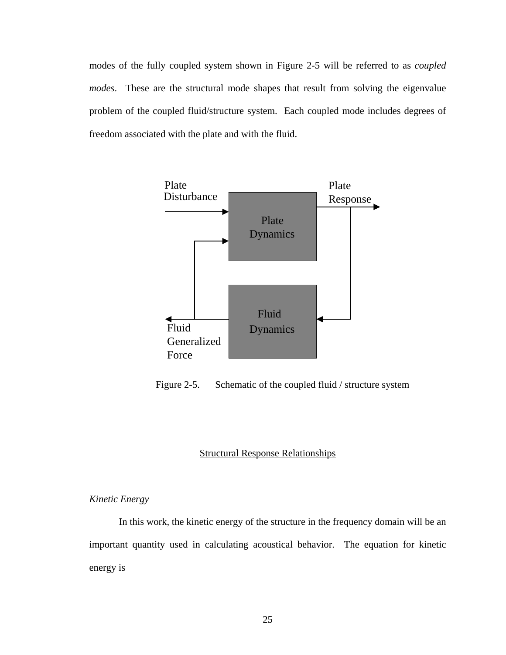modes of the fully coupled system shown in Figure 2-5 will be referred to as *coupled modes*. These are the structural mode shapes that result from solving the eigenvalue problem of the coupled fluid/structure system. Each coupled mode includes degrees of freedom associated with the plate and with the fluid.



Figure 2-5. Schematic of the coupled fluid / structure system

### Structural Response Relationships

### *Kinetic Energy*

In this work, the kinetic energy of the structure in the frequency domain will be an important quantity used in calculating acoustical behavior. The equation for kinetic energy is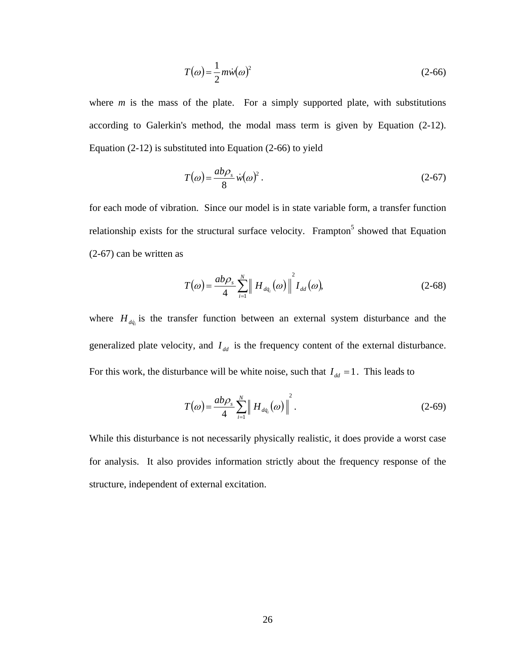$$
T(\omega) = \frac{1}{2} m \dot{w}(\omega)^2 \tag{2-66}
$$

where  $m$  is the mass of the plate. For a simply supported plate, with substitutions according to Galerkin's method, the modal mass term is given by Equation (2-12). Equation (2-12) is substituted into Equation (2-66) to yield

$$
T(\omega) = \frac{ab\rho_s}{8} \dot{w}(\omega)^2.
$$
 (2-67)

for each mode of vibration. Since our model is in state variable form, a transfer function relationship exists for the structural surface velocity. Frampton<sup>5</sup> showed that Equation (2-67) can be written as

$$
T(\omega) = \frac{ab\rho_s}{4} \sum_{i=1}^N \left\| H_{d\dot{q}_i}(\omega) \right\|^2 I_{dd}(\omega), \tag{2-68}
$$

where  $H_{dq}$  is the transfer function between an external system disturbance and the generalized plate velocity, and  $I_{dd}$  is the frequency content of the external disturbance. For this work, the disturbance will be white noise, such that  $I_{dd} = 1$ . This leads to

$$
T(\omega) = \frac{ab\rho_s}{4} \sum_{i=1}^N \left\| H_{d\dot{q}_i}(\omega) \right\|^2.
$$
 (2-69)

While this disturbance is not necessarily physically realistic, it does provide a worst case for analysis. It also provides information strictly about the frequency response of the structure, independent of external excitation.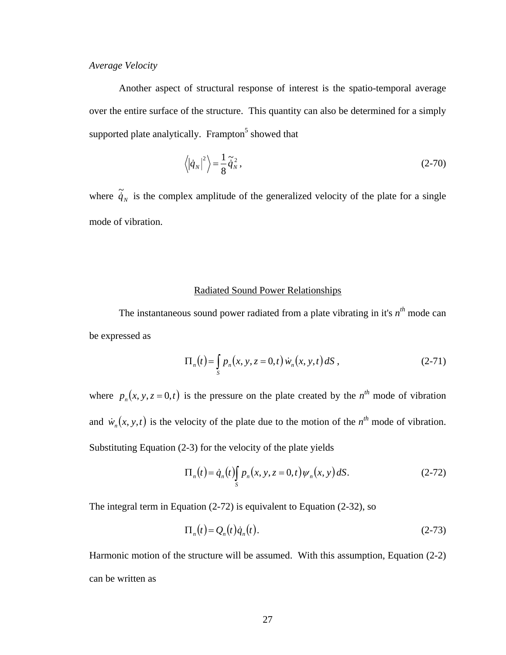# *Average Velocity*

Another aspect of structural response of interest is the spatio-temporal average over the entire surface of the structure. This quantity can also be determined for a simply supported plate analytically. Frampton<sup>5</sup> showed that

$$
\langle |\dot{q}_N|^2 \rangle = \frac{1}{8} \tilde{\dot{q}}_N^2, \qquad (2-70)
$$

where  $\tilde{\dot{q}}_N$  is the complex amplitude of the generalized velocity of the plate for a single mode of vibration.

## Radiated Sound Power Relationships

The instantaneous sound power radiated from a plate vibrating in it's  $n^{th}$  mode can be expressed as

$$
\Pi_n(t) = \int_S p_n(x, y, z = 0, t) \dot{w}_n(x, y, t) dS,
$$
 (2-71)

where  $p_n(x, y, z = 0, t)$  is the pressure on the plate created by the  $n^{th}$  mode of vibration and  $\dot{w}_n(x, y, t)$  is the velocity of the plate due to the motion of the  $n^{th}$  mode of vibration. Substituting Equation (2-3) for the velocity of the plate yields

$$
\Pi_n(t) = \dot{q}_n(t) \int_S p_n(x, y, z = 0, t) \psi_n(x, y) dS.
$$
 (2-72)

The integral term in Equation (2-72) is equivalent to Equation (2-32), so

$$
\Pi_n(t) = Q_n(t)\dot{q}_n(t). \tag{2-73}
$$

Harmonic motion of the structure will be assumed. With this assumption, Equation (2-2) can be written as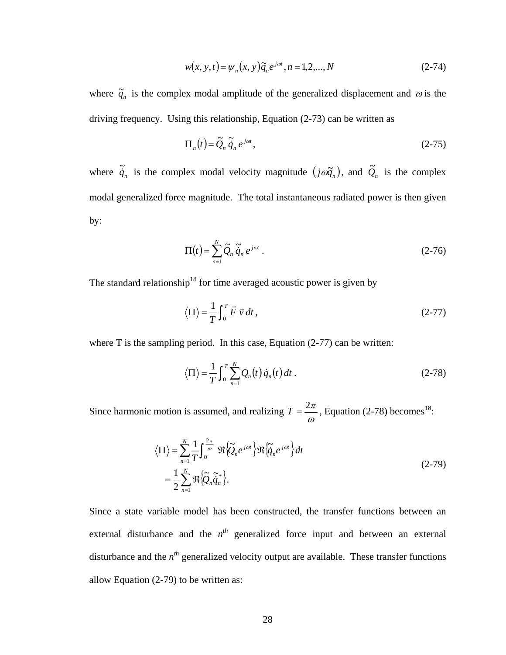$$
w(x, y, t) = \psi_n(x, y)\tilde{q}_n e^{j\omega t}, n = 1, 2, ..., N
$$
 (2-74)

where  $\tilde{q}_n$  is the complex modal amplitude of the generalized displacement and  $\omega$  is the driving frequency. Using this relationship, Equation (2-73) can be written as

$$
\Pi_n(t) = \tilde{Q}_n \tilde{\dot{q}}_n e^{j\omega t},\qquad(2-75)
$$

where  $\tilde{\dot{q}}_n$  is the complex modal velocity magnitude  $(j\omega \tilde{q}_n)$ , and  $\tilde{Q}_n$  is the complex modal generalized force magnitude. The total instantaneous radiated power is then given by:

$$
\Pi(t) = \sum_{n=1}^{N} \tilde{Q}_n \tilde{\dot{q}}_n e^{j\omega t} .
$$
 (2-76)

The standard relationship<sup>18</sup> for time averaged acoustic power is given by

$$
\langle \Pi \rangle = \frac{1}{T} \int_0^T \vec{F} \ \vec{v} \ dt \,, \tag{2-77}
$$

where T is the sampling period. In this case, Equation (2-77) can be written:

$$
\langle \Pi \rangle = \frac{1}{T} \int_0^T \sum_{n=1}^N Q_n(t) \dot{q}_n(t) dt . \qquad (2-78)
$$

Since harmonic motion is assumed, and realizing  $T = \frac{2\pi}{\omega}$ , Equation (2-78) becomes<sup>18</sup>:

$$
\langle \Pi \rangle = \sum_{n=1}^{N} \frac{1}{T} \int_{0}^{\frac{2\pi}{\omega}} \Re \langle \widetilde{Q}_n e^{j\omega t} \rangle \Re \langle \widetilde{q}_n e^{j\omega t} \rangle dt
$$
  
=  $\frac{1}{2} \sum_{n=1}^{N} \Re \langle \widetilde{Q}_n \widetilde{q}_n^* \rangle.$  (2-79)

Since a state variable model has been constructed, the transfer functions between an external disturbance and the  $n^{th}$  generalized force input and between an external disturbance and the  $n^{th}$  generalized velocity output are available. These transfer functions allow Equation (2-79) to be written as: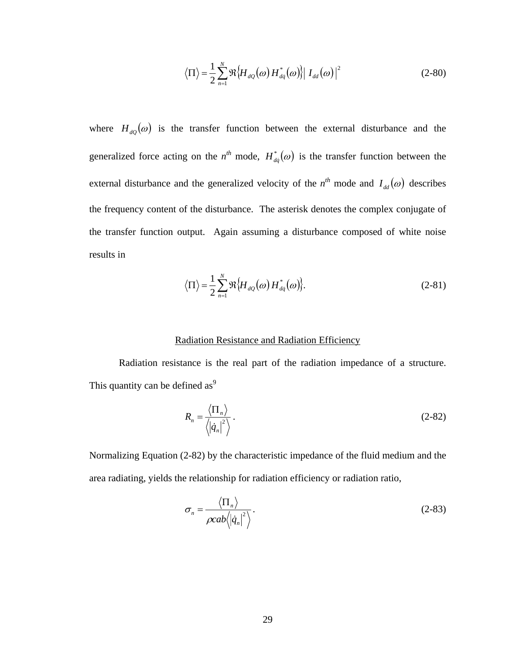$$
\langle \Pi \rangle = \frac{1}{2} \sum_{n=1}^{N} \Re \{ H_{dQ}(\omega) H_{dq}^*(\omega) \} | I_{dd}(\omega) |^2
$$
 (2-80)

where  $H_{dQ}(\omega)$  is the transfer function between the external disturbance and the generalized force acting on the  $n^{th}$  mode,  $H_{dq}^{*}(\omega)$  is the transfer function between the external disturbance and the generalized velocity of the  $n^{th}$  mode and  $I_{dd}(\omega)$  describes the frequency content of the disturbance. The asterisk denotes the complex conjugate of the transfer function output. Again assuming a disturbance composed of white noise results in

$$
\langle \Pi \rangle = \frac{1}{2} \sum_{n=1}^{N} \Re \{ H_{dQ}(\omega) H_{dq}^*(\omega) \}.
$$
 (2-81)

#### Radiation Resistance and Radiation Efficiency

Radiation resistance is the real part of the radiation impedance of a structure. This quantity can be defined as $9$ 

$$
R_n = \frac{\langle \Pi_n \rangle}{\langle |\dot{q}_n|^2 \rangle} \,. \tag{2-82}
$$

Normalizing Equation (2-82) by the characteristic impedance of the fluid medium and the area radiating, yields the relationship for radiation efficiency or radiation ratio,

$$
\sigma_n = \frac{\langle \Pi_n \rangle}{\rho cab \langle |\dot{q}_n|^2 \rangle}.
$$
\n(2-83)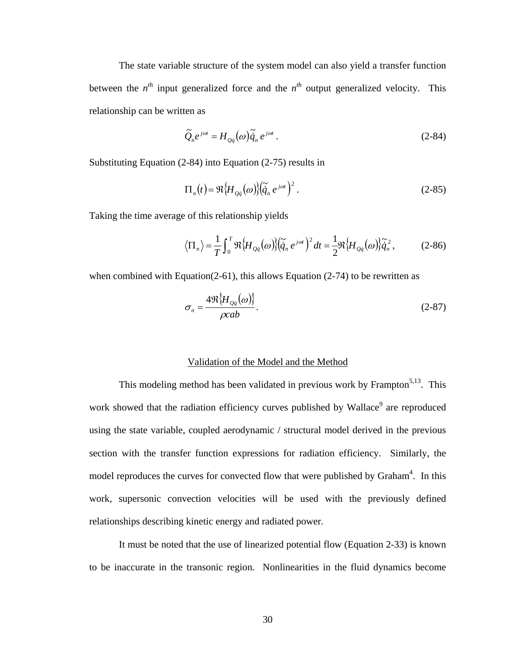The state variable structure of the system model can also yield a transfer function between the  $n^{th}$  input generalized force and the  $n^{th}$  output generalized velocity. This relationship can be written as

$$
\widetilde{Q}_n e^{j\omega t} = H_{Q\dot{q}}(\omega) \widetilde{\dot{q}}_n e^{j\omega t} \,. \tag{2-84}
$$

Substituting Equation (2-84) into Equation (2-75) results in

$$
\Pi_n(t) = \Re{\{H_{Q\dot{q}}(\omega)\}\left(\tilde{\dot{q}}_n e^{j\omega t}\right)^2}.
$$
\n(2-85)

Taking the time average of this relationship yields

$$
\langle \Pi_n \rangle = \frac{1}{T} \int_0^T \Re \{ H_{Q\dot{q}}(\omega) \} (\tilde{\tilde{q}}_n e^{j\omega t})^2 dt = \frac{1}{2} \Re \{ H_{Q\dot{q}}(\omega) \} \tilde{\tilde{q}}_n^2, \qquad (2\text{-}86)
$$

when combined with Equation(2-61), this allows Equation (2-74) to be rewritten as

$$
\sigma_n = \frac{4\Re\{H_{Qq}(\omega)\}}{\rho cab}.
$$
\n(2-87)

#### Validation of the Model and the Method

This modeling method has been validated in previous work by Frampton<sup>5,13</sup>. This work showed that the radiation efficiency curves published by Wallace<sup>9</sup> are reproduced using the state variable, coupled aerodynamic / structural model derived in the previous section with the transfer function expressions for radiation efficiency. Similarly, the model reproduces the curves for convected flow that were published by Graham<sup>4</sup>. In this work, supersonic convection velocities will be used with the previously defined relationships describing kinetic energy and radiated power.

It must be noted that the use of linearized potential flow (Equation 2-33) is known to be inaccurate in the transonic region. Nonlinearities in the fluid dynamics become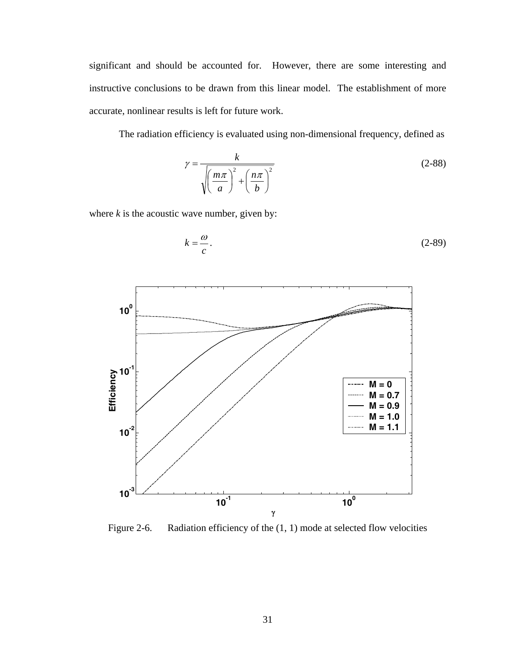significant and should be accounted for. However, there are some interesting and instructive conclusions to be drawn from this linear model. The establishment of more accurate, nonlinear results is left for future work.

The radiation efficiency is evaluated using non-dimensional frequency, defined as

$$
\gamma = \frac{k}{\sqrt{\left(\frac{m\pi}{a}\right)^2 + \left(\frac{n\pi}{b}\right)^2}}
$$
\n(2-88)

where  $k$  is the acoustic wave number, given by:

$$
k = -\frac{\omega}{c}.\tag{2-89}
$$



Figure 2-6. Radiation efficiency of the  $(1, 1)$  mode at selected flow velocities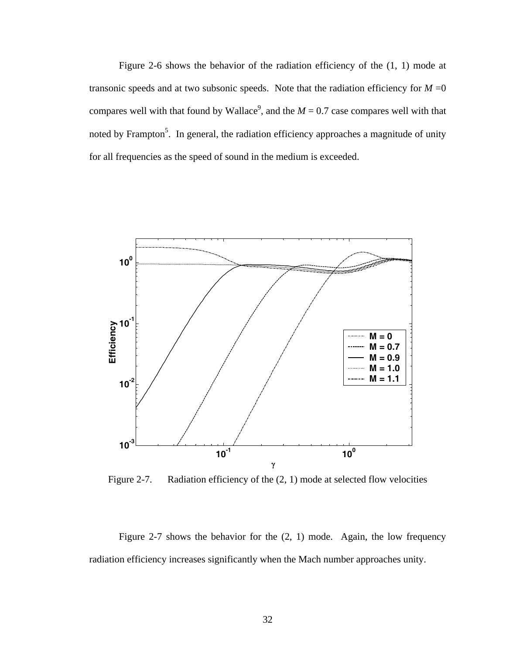Figure 2-6 shows the behavior of the radiation efficiency of the (1, 1) mode at transonic speeds and at two subsonic speeds. Note that the radiation efficiency for  $M = 0$ compares well with that found by Wallace<sup>9</sup>, and the  $M = 0.7$  case compares well with that noted by Frampton<sup>5</sup>. In general, the radiation efficiency approaches a magnitude of unity for all frequencies as the speed of sound in the medium is exceeded.



Figure 2-7. Radiation efficiency of the  $(2, 1)$  mode at selected flow velocities

Figure 2-7 shows the behavior for the (2, 1) mode. Again, the low frequency radiation efficiency increases significantly when the Mach number approaches unity.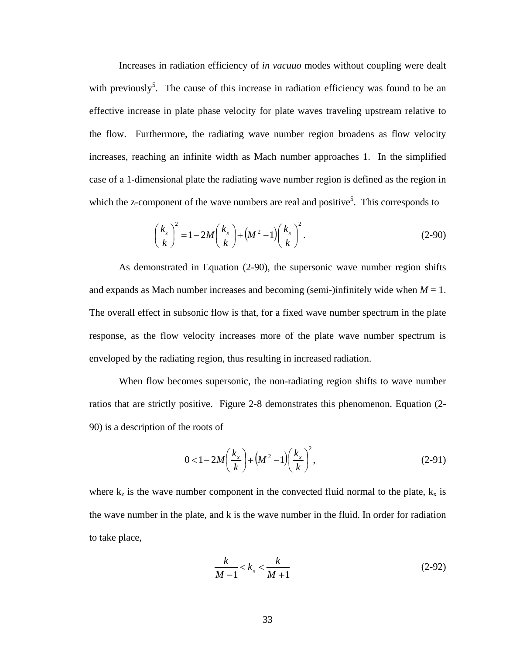Increases in radiation efficiency of *in vacuuo* modes without coupling were dealt with previously<sup>5</sup>. The cause of this increase in radiation efficiency was found to be an effective increase in plate phase velocity for plate waves traveling upstream relative to the flow. Furthermore, the radiating wave number region broadens as flow velocity increases, reaching an infinite width as Mach number approaches 1. In the simplified case of a 1-dimensional plate the radiating wave number region is defined as the region in which the z-component of the wave numbers are real and positive<sup>5</sup>. This corresponds to

$$
\left(\frac{k_z}{k}\right)^2 = 1 - 2M\left(\frac{k_x}{k}\right) + \left(M^2 - 1\right)\left(\frac{k_x}{k}\right)^2.
$$
\n(2-90)

As demonstrated in Equation (2-90), the supersonic wave number region shifts and expands as Mach number increases and becoming (semi-)infinitely wide when  $M = 1$ . The overall effect in subsonic flow is that, for a fixed wave number spectrum in the plate response, as the flow velocity increases more of the plate wave number spectrum is enveloped by the radiating region, thus resulting in increased radiation.

When flow becomes supersonic, the non-radiating region shifts to wave number ratios that are strictly positive. Figure 2-8 demonstrates this phenomenon. Equation (2- 90) is a description of the roots of

$$
0 < 1 - 2M\left(\frac{k_x}{k}\right) + \left(M^2 - 1\right)\left(\frac{k_x}{k}\right)^2,
$$
\n(2-91)

where  $k_z$  is the wave number component in the convected fluid normal to the plate,  $k_x$  is the wave number in the plate, and k is the wave number in the fluid. In order for radiation to take place,

$$
\frac{k}{M-1} < k_x < \frac{k}{M+1} \tag{2-92}
$$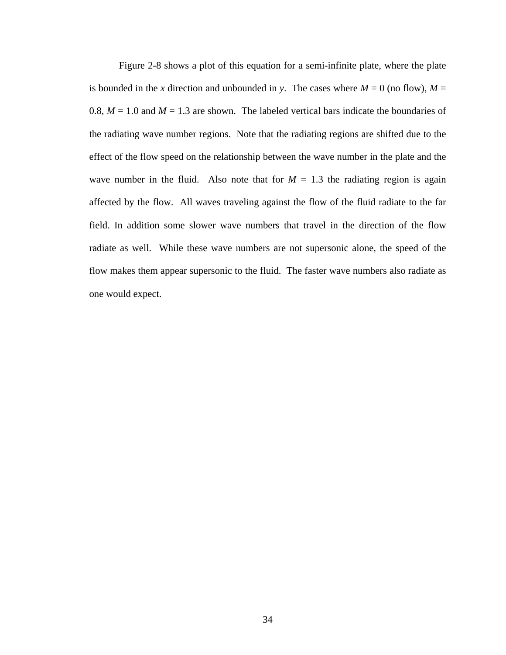Figure 2-8 shows a plot of this equation for a semi-infinite plate, where the plate is bounded in the x direction and unbounded in *y*. The cases where  $M = 0$  (no flow),  $M =$ 0.8,  $M = 1.0$  and  $M = 1.3$  are shown. The labeled vertical bars indicate the boundaries of the radiating wave number regions. Note that the radiating regions are shifted due to the effect of the flow speed on the relationship between the wave number in the plate and the wave number in the fluid. Also note that for  $M = 1.3$  the radiating region is again affected by the flow. All waves traveling against the flow of the fluid radiate to the far field. In addition some slower wave numbers that travel in the direction of the flow radiate as well. While these wave numbers are not supersonic alone, the speed of the flow makes them appear supersonic to the fluid. The faster wave numbers also radiate as one would expect.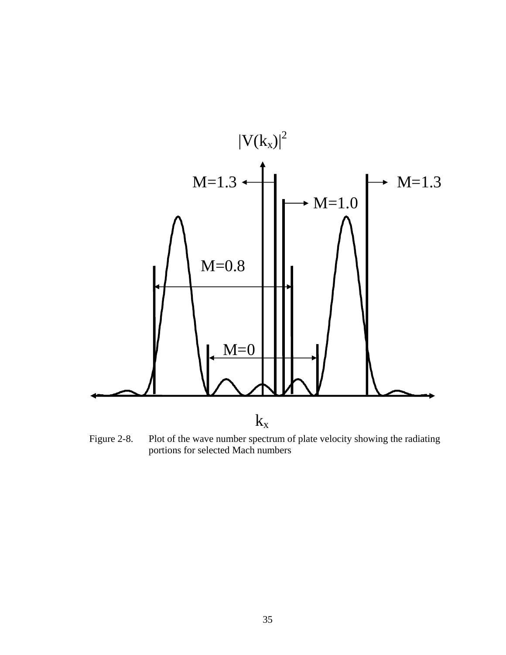

Figure 2-8. Plot of the wave number spectrum of plate velocity showing the radiating portions for selected Mach numbers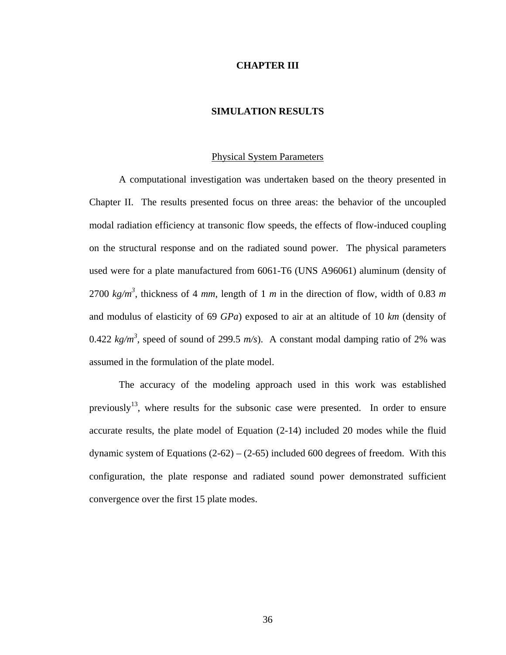#### **CHAPTER III**

## **SIMULATION RESULTS**

## Physical System Parameters

A computational investigation was undertaken based on the theory presented in Chapter II. The results presented focus on three areas: the behavior of the uncoupled modal radiation efficiency at transonic flow speeds, the effects of flow-induced coupling on the structural response and on the radiated sound power. The physical parameters used were for a plate manufactured from 6061-T6 (UNS A96061) aluminum (density of 2700  $kg/m^3$ , thickness of 4 *mm*, length of 1 *m* in the direction of flow, width of 0.83 *m* and modulus of elasticity of 69 *GPa*) exposed to air at an altitude of 10 *km* (density of 0.422  $kg/m^3$ , speed of sound of 299.5  $m/s$ ). A constant modal damping ratio of 2% was assumed in the formulation of the plate model.

The accuracy of the modeling approach used in this work was established previously<sup>13</sup>, where results for the subsonic case were presented. In order to ensure accurate results, the plate model of Equation (2-14) included 20 modes while the fluid dynamic system of Equations  $(2-62) - (2-65)$  included 600 degrees of freedom. With this configuration, the plate response and radiated sound power demonstrated sufficient convergence over the first 15 plate modes.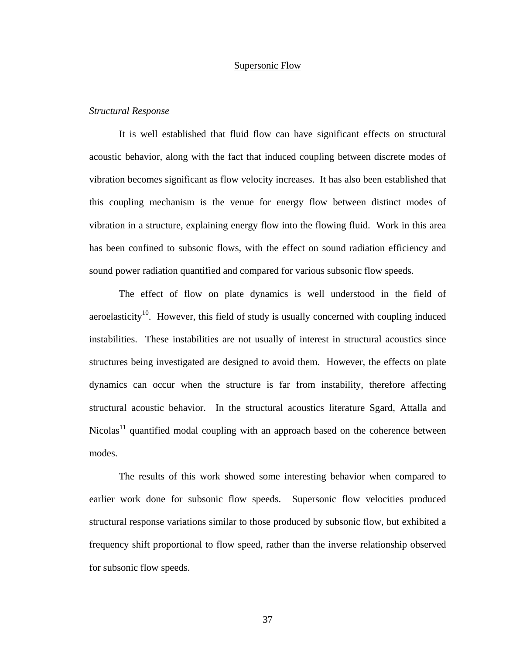## Supersonic Flow

## *Structural Response*

It is well established that fluid flow can have significant effects on structural acoustic behavior, along with the fact that induced coupling between discrete modes of vibration becomes significant as flow velocity increases. It has also been established that this coupling mechanism is the venue for energy flow between distinct modes of vibration in a structure, explaining energy flow into the flowing fluid. Work in this area has been confined to subsonic flows, with the effect on sound radiation efficiency and sound power radiation quantified and compared for various subsonic flow speeds.

The effect of flow on plate dynamics is well understood in the field of aeroelasticity<sup>10</sup>. However, this field of study is usually concerned with coupling induced instabilities. These instabilities are not usually of interest in structural acoustics since structures being investigated are designed to avoid them. However, the effects on plate dynamics can occur when the structure is far from instability, therefore affecting structural acoustic behavior. In the structural acoustics literature Sgard, Attalla and Nicolas<sup>11</sup> quantified modal coupling with an approach based on the coherence between modes.

The results of this work showed some interesting behavior when compared to earlier work done for subsonic flow speeds. Supersonic flow velocities produced structural response variations similar to those produced by subsonic flow, but exhibited a frequency shift proportional to flow speed, rather than the inverse relationship observed for subsonic flow speeds.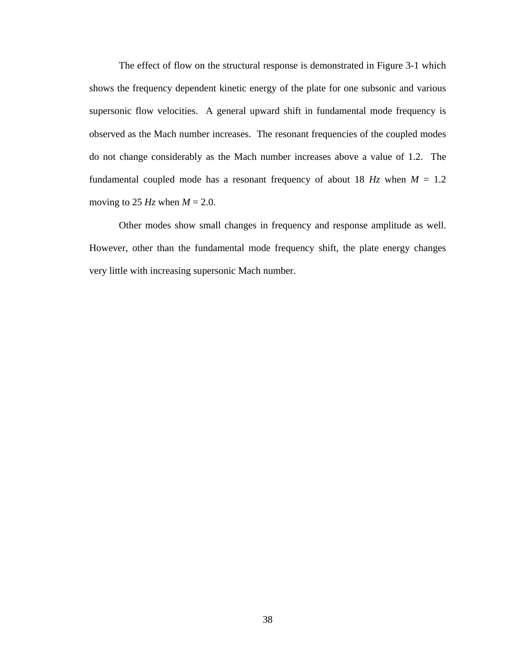The effect of flow on the structural response is demonstrated in Figure 3-1 which shows the frequency dependent kinetic energy of the plate for one subsonic and various supersonic flow velocities. A general upward shift in fundamental mode frequency is observed as the Mach number increases. The resonant frequencies of the coupled modes do not change considerably as the Mach number increases above a value of 1.2. The fundamental coupled mode has a resonant frequency of about 18  $Hz$  when  $M = 1.2$ moving to 25  $Hz$  when  $M = 2.0$ .

Other modes show small changes in frequency and response amplitude as well. However, other than the fundamental mode frequency shift, the plate energy changes very little with increasing supersonic Mach number.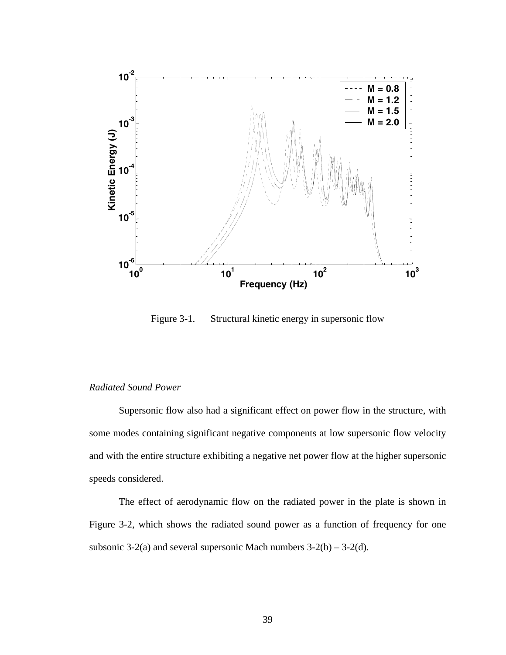

Figure 3-1. Structural kinetic energy in supersonic flow

# *Radiated Sound Power*

Supersonic flow also had a significant effect on power flow in the structure, with some modes containing significant negative components at low supersonic flow velocity and with the entire structure exhibiting a negative net power flow at the higher supersonic speeds considered.

The effect of aerodynamic flow on the radiated power in the plate is shown in Figure 3-2, which shows the radiated sound power as a function of frequency for one subsonic 3-2(a) and several supersonic Mach numbers  $3-2(b) - 3-2(d)$ .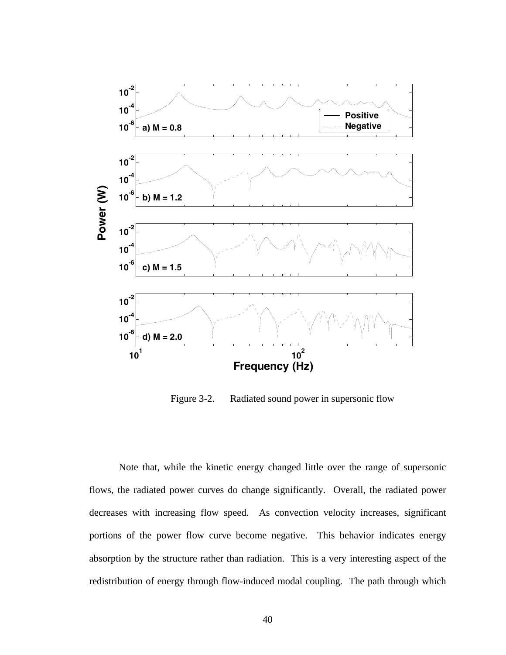

Figure 3-2. Radiated sound power in supersonic flow

Note that, while the kinetic energy changed little over the range of supersonic flows, the radiated power curves do change significantly. Overall, the radiated power decreases with increasing flow speed. As convection velocity increases, significant portions of the power flow curve become negative. This behavior indicates energy absorption by the structure rather than radiation. This is a very interesting aspect of the redistribution of energy through flow-induced modal coupling. The path through which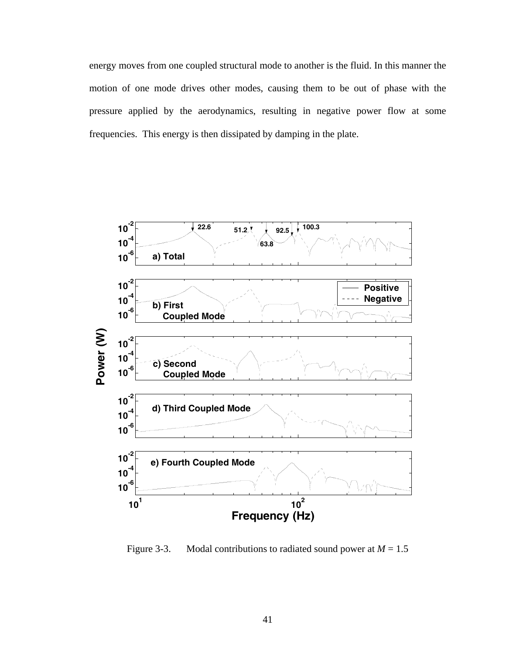energy moves from one coupled structural mode to another is the fluid. In this manner the motion of one mode drives other modes, causing them to be out of phase with the pressure applied by the aerodynamics, resulting in negative power flow at some frequencies. This energy is then dissipated by damping in the plate.



Figure 3-3. Modal contributions to radiated sound power at  $M = 1.5$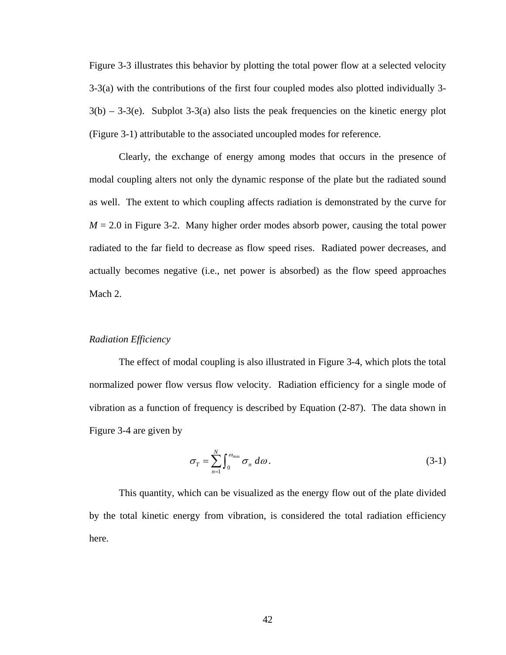Figure 3-3 illustrates this behavior by plotting the total power flow at a selected velocity 3-3(a) with the contributions of the first four coupled modes also plotted individually 3-  $3(b) - 3-3(e)$ . Subplot  $3-3(a)$  also lists the peak frequencies on the kinetic energy plot (Figure 3-1) attributable to the associated uncoupled modes for reference.

Clearly, the exchange of energy among modes that occurs in the presence of modal coupling alters not only the dynamic response of the plate but the radiated sound as well. The extent to which coupling affects radiation is demonstrated by the curve for  $M = 2.0$  in Figure 3-2. Many higher order modes absorb power, causing the total power radiated to the far field to decrease as flow speed rises. Radiated power decreases, and actually becomes negative (i.e., net power is absorbed) as the flow speed approaches Mach 2.

## *Radiation Efficiency*

The effect of modal coupling is also illustrated in Figure 3-4, which plots the total normalized power flow versus flow velocity. Radiation efficiency for a single mode of vibration as a function of frequency is described by Equation (2-87). The data shown in Figure 3-4 are given by

$$
\sigma_{T} = \sum_{n=1}^{N} \int_{0}^{\omega_{\text{max}}} \sigma_{n} \, d\omega. \tag{3-1}
$$

This quantity, which can be visualized as the energy flow out of the plate divided by the total kinetic energy from vibration, is considered the total radiation efficiency here.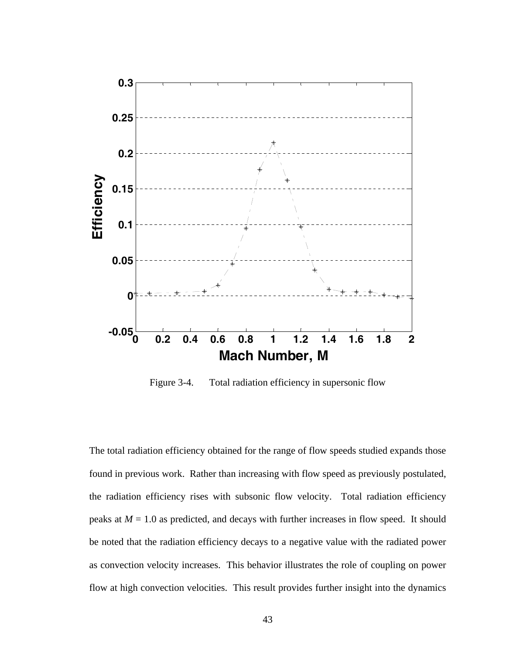

Figure 3-4. Total radiation efficiency in supersonic flow

The total radiation efficiency obtained for the range of flow speeds studied expands those found in previous work. Rather than increasing with flow speed as previously postulated, the radiation efficiency rises with subsonic flow velocity. Total radiation efficiency peaks at  $M = 1.0$  as predicted, and decays with further increases in flow speed. It should be noted that the radiation efficiency decays to a negative value with the radiated power as convection velocity increases. This behavior illustrates the role of coupling on power flow at high convection velocities. This result provides further insight into the dynamics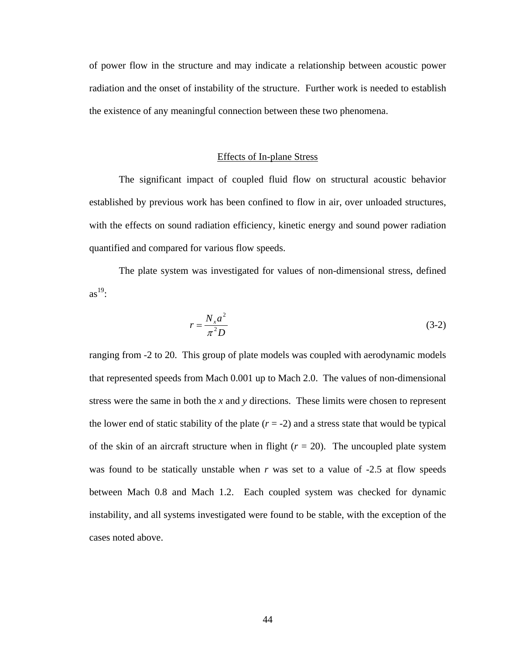of power flow in the structure and may indicate a relationship between acoustic power radiation and the onset of instability of the structure. Further work is needed to establish the existence of any meaningful connection between these two phenomena.

## Effects of In-plane Stress

The significant impact of coupled fluid flow on structural acoustic behavior established by previous work has been confined to flow in air, over unloaded structures, with the effects on sound radiation efficiency, kinetic energy and sound power radiation quantified and compared for various flow speeds.

The plate system was investigated for values of non-dimensional stress, defined  $as^{19}$ :

$$
r = \frac{N_x a^2}{\pi^2 D} \tag{3-2}
$$

ranging from -2 to 20. This group of plate models was coupled with aerodynamic models that represented speeds from Mach 0.001 up to Mach 2.0. The values of non-dimensional stress were the same in both the *x* and *y* directions. These limits were chosen to represent the lower end of static stability of the plate  $(r = -2)$  and a stress state that would be typical of the skin of an aircraft structure when in flight  $(r = 20)$ . The uncoupled plate system was found to be statically unstable when *r* was set to a value of -2.5 at flow speeds between Mach 0.8 and Mach 1.2. Each coupled system was checked for dynamic instability, and all systems investigated were found to be stable, with the exception of the cases noted above.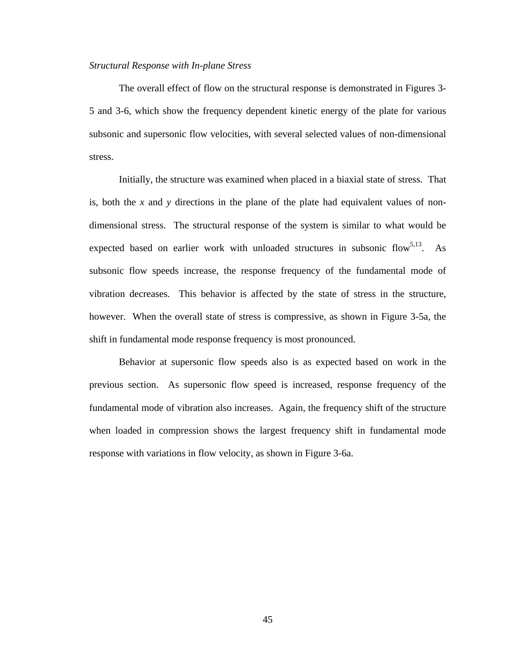#### *Structural Response with In-plane Stress*

The overall effect of flow on the structural response is demonstrated in Figures 3- 5 and 3-6, which show the frequency dependent kinetic energy of the plate for various subsonic and supersonic flow velocities, with several selected values of non-dimensional stress.

Initially, the structure was examined when placed in a biaxial state of stress. That is, both the *x* and *y* directions in the plane of the plate had equivalent values of nondimensional stress. The structural response of the system is similar to what would be expected based on earlier work with unloaded structures in subsonic flow<sup>5,13</sup>. As subsonic flow speeds increase, the response frequency of the fundamental mode of vibration decreases. This behavior is affected by the state of stress in the structure, however. When the overall state of stress is compressive, as shown in Figure 3-5a, the shift in fundamental mode response frequency is most pronounced.

Behavior at supersonic flow speeds also is as expected based on work in the previous section. As supersonic flow speed is increased, response frequency of the fundamental mode of vibration also increases. Again, the frequency shift of the structure when loaded in compression shows the largest frequency shift in fundamental mode response with variations in flow velocity, as shown in Figure 3-6a.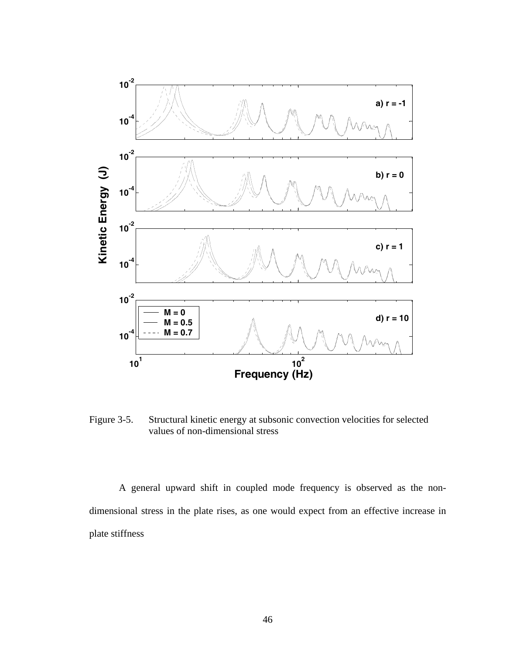

Figure 3-5. Structural kinetic energy at subsonic convection velocities for selected values of non-dimensional stress

A general upward shift in coupled mode frequency is observed as the nondimensional stress in the plate rises, as one would expect from an effective increase in plate stiffness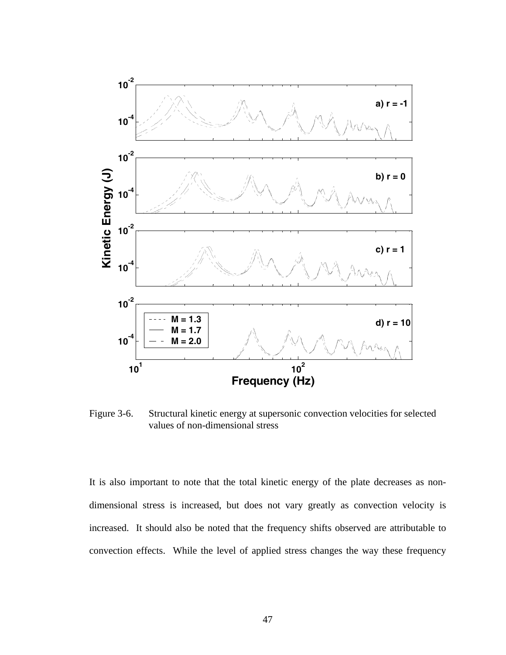

Figure 3-6. Structural kinetic energy at supersonic convection velocities for selected values of non-dimensional stress

It is also important to note that the total kinetic energy of the plate decreases as nondimensional stress is increased, but does not vary greatly as convection velocity is increased. It should also be noted that the frequency shifts observed are attributable to convection effects. While the level of applied stress changes the way these frequency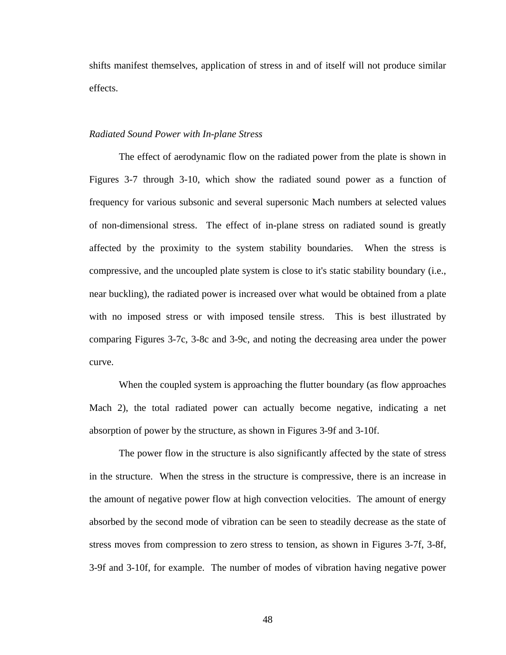shifts manifest themselves, application of stress in and of itself will not produce similar effects.

## *Radiated Sound Power with In-plane Stress*

The effect of aerodynamic flow on the radiated power from the plate is shown in Figures 3-7 through 3-10, which show the radiated sound power as a function of frequency for various subsonic and several supersonic Mach numbers at selected values of non-dimensional stress. The effect of in-plane stress on radiated sound is greatly affected by the proximity to the system stability boundaries. When the stress is compressive, and the uncoupled plate system is close to it's static stability boundary (i.e., near buckling), the radiated power is increased over what would be obtained from a plate with no imposed stress or with imposed tensile stress. This is best illustrated by comparing Figures 3-7c, 3-8c and 3-9c, and noting the decreasing area under the power curve.

When the coupled system is approaching the flutter boundary (as flow approaches Mach 2), the total radiated power can actually become negative, indicating a net absorption of power by the structure, as shown in Figures 3-9f and 3-10f.

The power flow in the structure is also significantly affected by the state of stress in the structure. When the stress in the structure is compressive, there is an increase in the amount of negative power flow at high convection velocities. The amount of energy absorbed by the second mode of vibration can be seen to steadily decrease as the state of stress moves from compression to zero stress to tension, as shown in Figures 3-7f, 3-8f, 3-9f and 3-10f, for example. The number of modes of vibration having negative power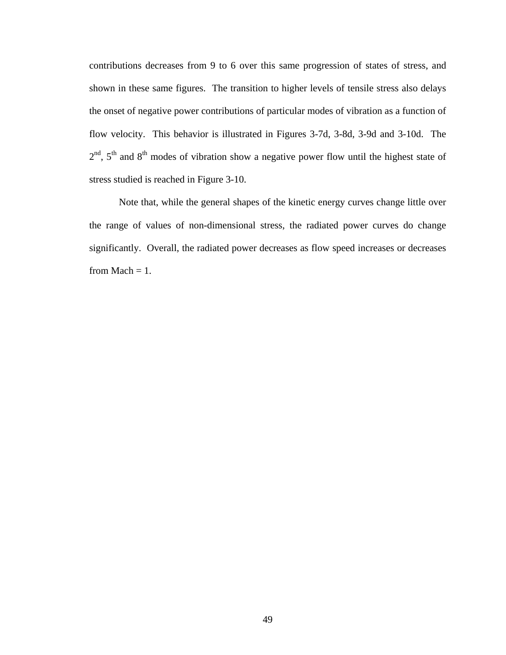contributions decreases from 9 to 6 over this same progression of states of stress, and shown in these same figures. The transition to higher levels of tensile stress also delays the onset of negative power contributions of particular modes of vibration as a function of flow velocity. This behavior is illustrated in Figures 3-7d, 3-8d, 3-9d and 3-10d. The  $2<sup>nd</sup>$ ,  $5<sup>th</sup>$  and  $8<sup>th</sup>$  modes of vibration show a negative power flow until the highest state of stress studied is reached in Figure 3-10.

Note that, while the general shapes of the kinetic energy curves change little over the range of values of non-dimensional stress, the radiated power curves do change significantly. Overall, the radiated power decreases as flow speed increases or decreases from Mach  $= 1$ .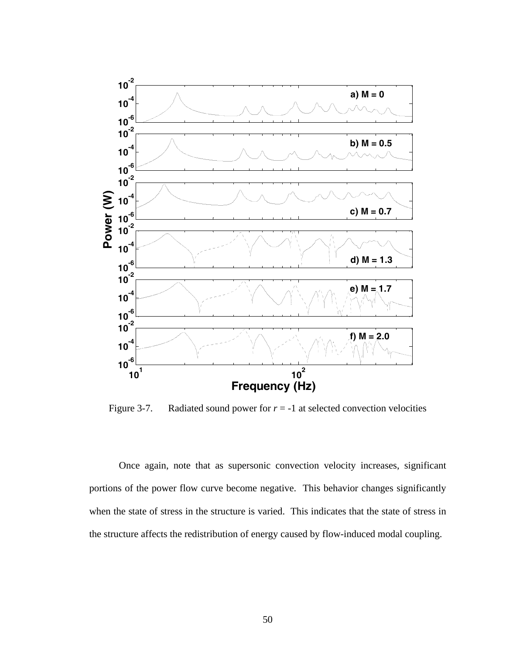

Figure 3-7. Radiated sound power for  $r = -1$  at selected convection velocities

Once again, note that as supersonic convection velocity increases, significant portions of the power flow curve become negative. This behavior changes significantly when the state of stress in the structure is varied. This indicates that the state of stress in the structure affects the redistribution of energy caused by flow-induced modal coupling.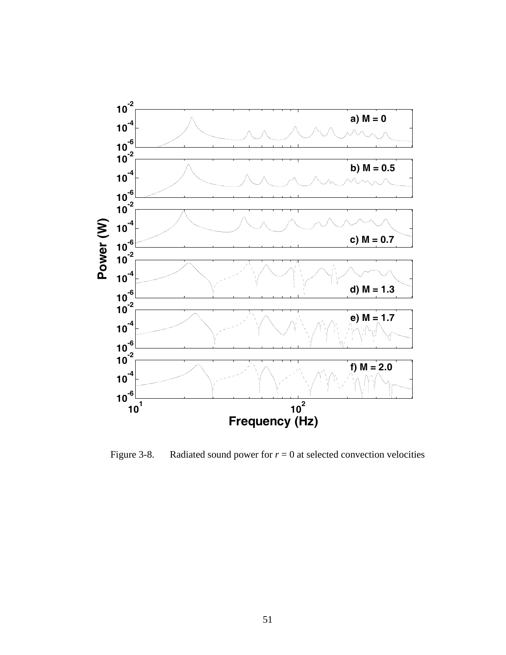

Figure 3-8. Radiated sound power for  $r = 0$  at selected convection velocities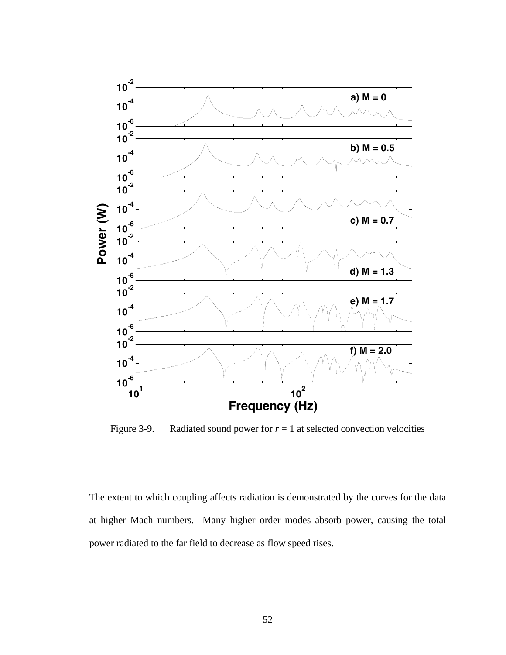

Figure 3-9. Radiated sound power for  $r = 1$  at selected convection velocities

The extent to which coupling affects radiation is demonstrated by the curves for the data at higher Mach numbers. Many higher order modes absorb power, causing the total power radiated to the far field to decrease as flow speed rises.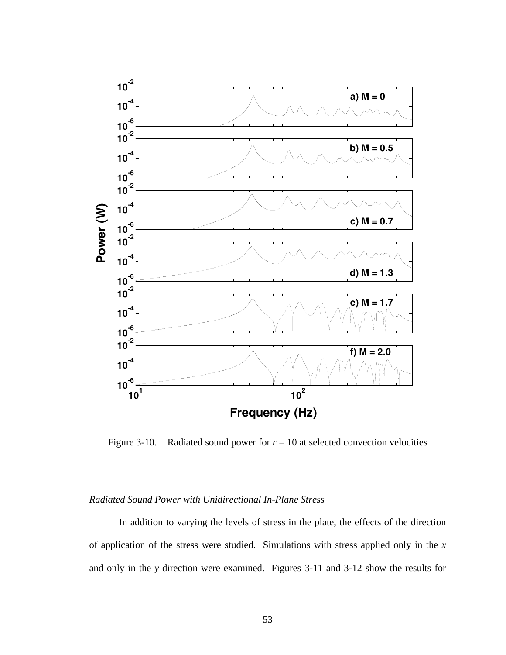

Figure 3-10. Radiated sound power for  $r = 10$  at selected convection velocities

# *Radiated Sound Power with Unidirectional In-Plane Stress*

In addition to varying the levels of stress in the plate, the effects of the direction of application of the stress were studied. Simulations with stress applied only in the *x* and only in the *y* direction were examined. Figures 3-11 and 3-12 show the results for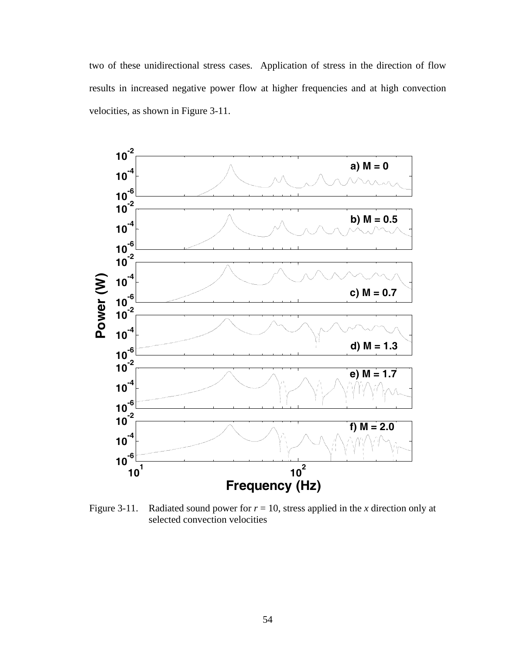two of these unidirectional stress cases. Application of stress in the direction of flow results in increased negative power flow at higher frequencies and at high convection velocities, as shown in Figure 3-11.



Figure 3-11. Radiated sound power for  $r = 10$ , stress applied in the *x* direction only at selected convection velocities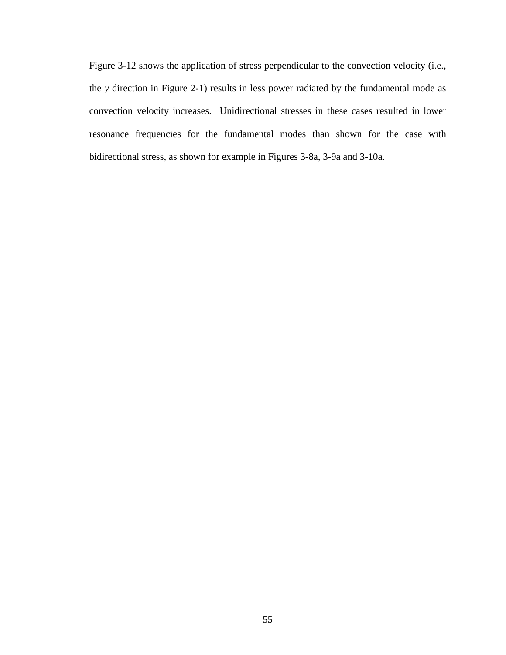Figure 3-12 shows the application of stress perpendicular to the convection velocity (i.e., the *y* direction in Figure 2-1) results in less power radiated by the fundamental mode as convection velocity increases. Unidirectional stresses in these cases resulted in lower resonance frequencies for the fundamental modes than shown for the case with bidirectional stress, as shown for example in Figures 3-8a, 3-9a and 3-10a.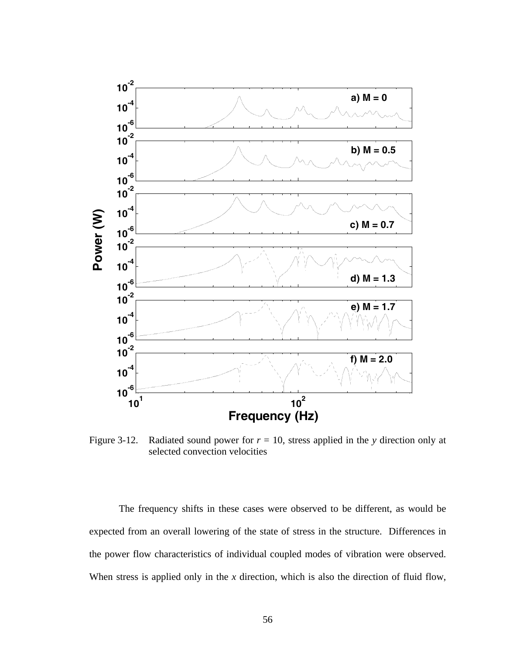

Figure 3-12. Radiated sound power for  $r = 10$ , stress applied in the *y* direction only at selected convection velocities

The frequency shifts in these cases were observed to be different, as would be expected from an overall lowering of the state of stress in the structure. Differences in the power flow characteristics of individual coupled modes of vibration were observed. When stress is applied only in the *x* direction, which is also the direction of fluid flow,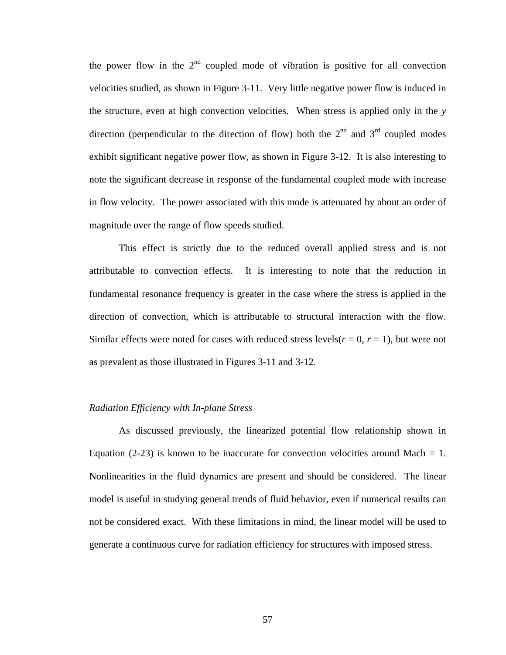the power flow in the  $2<sup>nd</sup>$  coupled mode of vibration is positive for all convection velocities studied, as shown in Figure 3-11. Very little negative power flow is induced in the structure, even at high convection velocities. When stress is applied only in the *y* direction (perpendicular to the direction of flow) both the  $2<sup>nd</sup>$  and  $3<sup>rd</sup>$  coupled modes exhibit significant negative power flow, as shown in Figure 3-12. It is also interesting to note the significant decrease in response of the fundamental coupled mode with increase in flow velocity. The power associated with this mode is attenuated by about an order of magnitude over the range of flow speeds studied.

This effect is strictly due to the reduced overall applied stress and is not attributable to convection effects. It is interesting to note that the reduction in fundamental resonance frequency is greater in the case where the stress is applied in the direction of convection, which is attributable to structural interaction with the flow. Similar effects were noted for cases with reduced stress levels( $r = 0$ ,  $r = 1$ ), but were not as prevalent as those illustrated in Figures 3-11 and 3-12.

## *Radiation Efficiency with In-plane Stress*

As discussed previously, the linearized potential flow relationship shown in Equation (2-23) is known to be inaccurate for convection velocities around Mach  $= 1$ . Nonlinearities in the fluid dynamics are present and should be considered. The linear model is useful in studying general trends of fluid behavior, even if numerical results can not be considered exact. With these limitations in mind, the linear model will be used to generate a continuous curve for radiation efficiency for structures with imposed stress.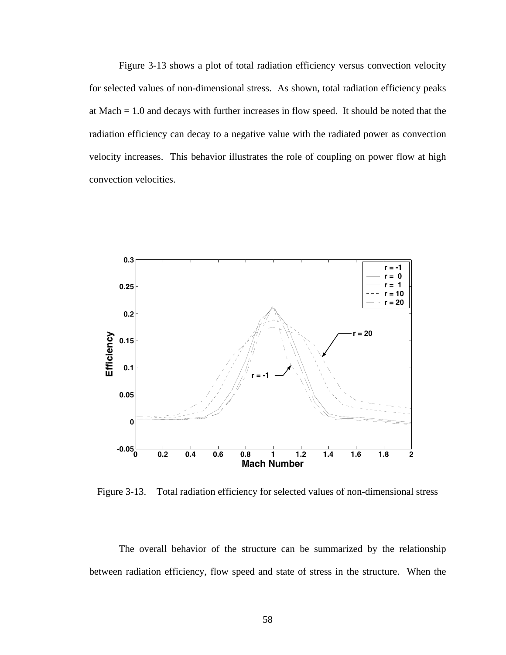Figure 3-13 shows a plot of total radiation efficiency versus convection velocity for selected values of non-dimensional stress. As shown, total radiation efficiency peaks at Mach = 1.0 and decays with further increases in flow speed. It should be noted that the radiation efficiency can decay to a negative value with the radiated power as convection velocity increases. This behavior illustrates the role of coupling on power flow at high convection velocities.



Figure 3-13. Total radiation efficiency for selected values of non-dimensional stress

The overall behavior of the structure can be summarized by the relationship between radiation efficiency, flow speed and state of stress in the structure. When the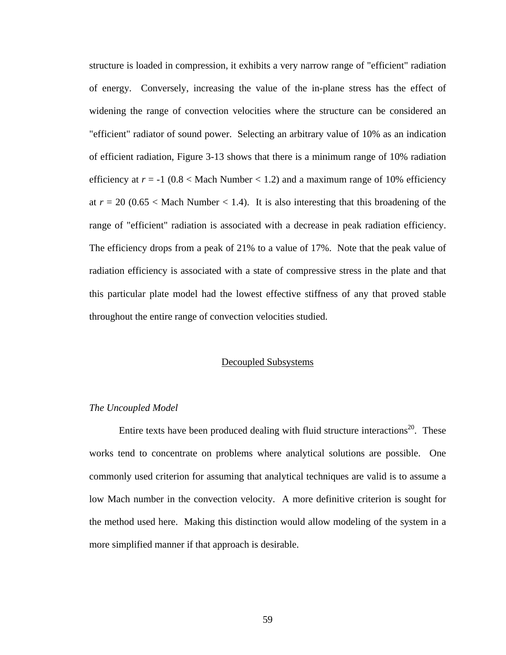structure is loaded in compression, it exhibits a very narrow range of "efficient" radiation of energy. Conversely, increasing the value of the in-plane stress has the effect of widening the range of convection velocities where the structure can be considered an "efficient" radiator of sound power. Selecting an arbitrary value of 10% as an indication of efficient radiation, Figure 3-13 shows that there is a minimum range of 10% radiation efficiency at  $r = -1$  (0.8  $\times$  Mach Number  $\times$  1.2) and a maximum range of 10% efficiency at  $r = 20$  (0.65 < Mach Number < 1.4). It is also interesting that this broadening of the range of "efficient" radiation is associated with a decrease in peak radiation efficiency. The efficiency drops from a peak of 21% to a value of 17%. Note that the peak value of radiation efficiency is associated with a state of compressive stress in the plate and that this particular plate model had the lowest effective stiffness of any that proved stable throughout the entire range of convection velocities studied.

#### Decoupled Subsystems

## *The Uncoupled Model*

Entire texts have been produced dealing with fluid structure interactions<sup>20</sup>. These works tend to concentrate on problems where analytical solutions are possible. One commonly used criterion for assuming that analytical techniques are valid is to assume a low Mach number in the convection velocity. A more definitive criterion is sought for the method used here. Making this distinction would allow modeling of the system in a more simplified manner if that approach is desirable.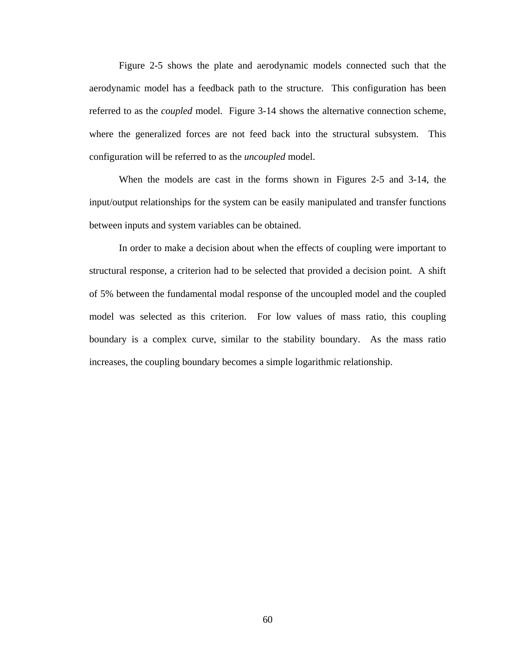Figure 2-5 shows the plate and aerodynamic models connected such that the aerodynamic model has a feedback path to the structure. This configuration has been referred to as the *coupled* model. Figure 3-14 shows the alternative connection scheme, where the generalized forces are not feed back into the structural subsystem. This configuration will be referred to as the *uncoupled* model.

When the models are cast in the forms shown in Figures 2-5 and 3-14, the input/output relationships for the system can be easily manipulated and transfer functions between inputs and system variables can be obtained.

In order to make a decision about when the effects of coupling were important to structural response, a criterion had to be selected that provided a decision point. A shift of 5% between the fundamental modal response of the uncoupled model and the coupled model was selected as this criterion. For low values of mass ratio, this coupling boundary is a complex curve, similar to the stability boundary. As the mass ratio increases, the coupling boundary becomes a simple logarithmic relationship.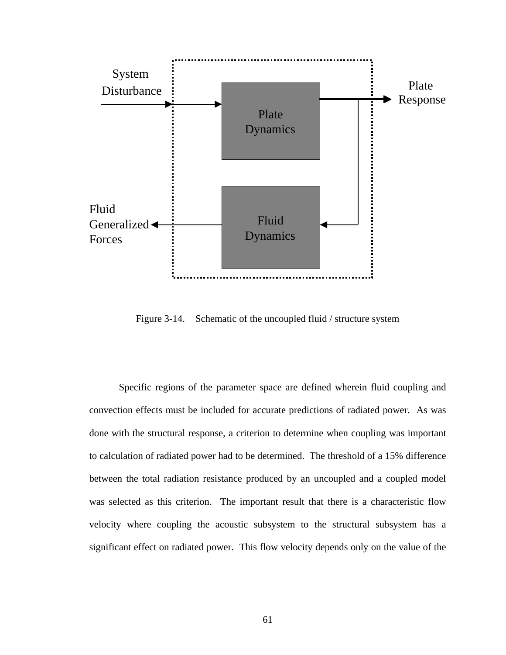

Figure 3-14. Schematic of the uncoupled fluid / structure system

Specific regions of the parameter space are defined wherein fluid coupling and convection effects must be included for accurate predictions of radiated power. As was done with the structural response, a criterion to determine when coupling was important to calculation of radiated power had to be determined. The threshold of a 15% difference between the total radiation resistance produced by an uncoupled and a coupled model was selected as this criterion. The important result that there is a characteristic flow velocity where coupling the acoustic subsystem to the structural subsystem has a significant effect on radiated power. This flow velocity depends only on the value of the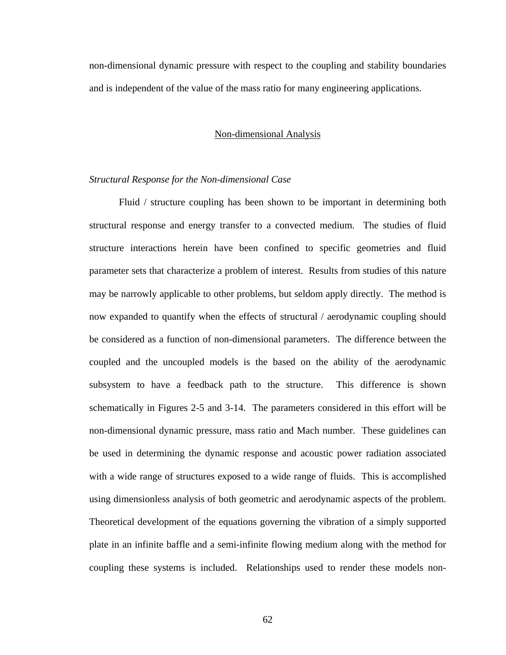non-dimensional dynamic pressure with respect to the coupling and stability boundaries and is independent of the value of the mass ratio for many engineering applications.

#### Non-dimensional Analysis

## *Structural Response for the Non-dimensional Case*

Fluid / structure coupling has been shown to be important in determining both structural response and energy transfer to a convected medium. The studies of fluid structure interactions herein have been confined to specific geometries and fluid parameter sets that characterize a problem of interest. Results from studies of this nature may be narrowly applicable to other problems, but seldom apply directly. The method is now expanded to quantify when the effects of structural / aerodynamic coupling should be considered as a function of non-dimensional parameters. The difference between the coupled and the uncoupled models is the based on the ability of the aerodynamic subsystem to have a feedback path to the structure. This difference is shown schematically in Figures 2-5 and 3-14. The parameters considered in this effort will be non-dimensional dynamic pressure, mass ratio and Mach number. These guidelines can be used in determining the dynamic response and acoustic power radiation associated with a wide range of structures exposed to a wide range of fluids. This is accomplished using dimensionless analysis of both geometric and aerodynamic aspects of the problem. Theoretical development of the equations governing the vibration of a simply supported plate in an infinite baffle and a semi-infinite flowing medium along with the method for coupling these systems is included. Relationships used to render these models non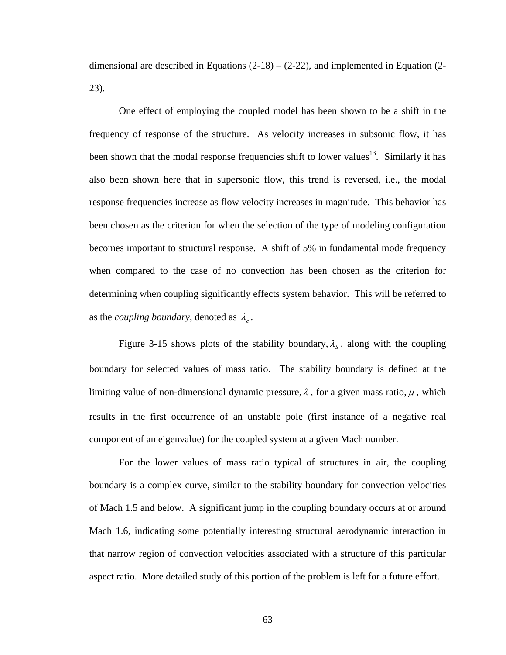dimensional are described in Equations  $(2-18) - (2-22)$ , and implemented in Equation  $(2-$ 23).

One effect of employing the coupled model has been shown to be a shift in the frequency of response of the structure. As velocity increases in subsonic flow, it has been shown that the modal response frequencies shift to lower values<sup>13</sup>. Similarly it has also been shown here that in supersonic flow, this trend is reversed, i.e., the modal response frequencies increase as flow velocity increases in magnitude. This behavior has been chosen as the criterion for when the selection of the type of modeling configuration becomes important to structural response. A shift of 5% in fundamental mode frequency when compared to the case of no convection has been chosen as the criterion for determining when coupling significantly effects system behavior. This will be referred to as the *coupling boundary*, denoted as  $\lambda_c$ .

Figure 3-15 shows plots of the stability boundary,  $\lambda_s$ , along with the coupling boundary for selected values of mass ratio. The stability boundary is defined at the limiting value of non-dimensional dynamic pressure,  $\lambda$ , for a given mass ratio,  $\mu$ , which results in the first occurrence of an unstable pole (first instance of a negative real component of an eigenvalue) for the coupled system at a given Mach number.

For the lower values of mass ratio typical of structures in air, the coupling boundary is a complex curve, similar to the stability boundary for convection velocities of Mach 1.5 and below. A significant jump in the coupling boundary occurs at or around Mach 1.6, indicating some potentially interesting structural aerodynamic interaction in that narrow region of convection velocities associated with a structure of this particular aspect ratio. More detailed study of this portion of the problem is left for a future effort.

63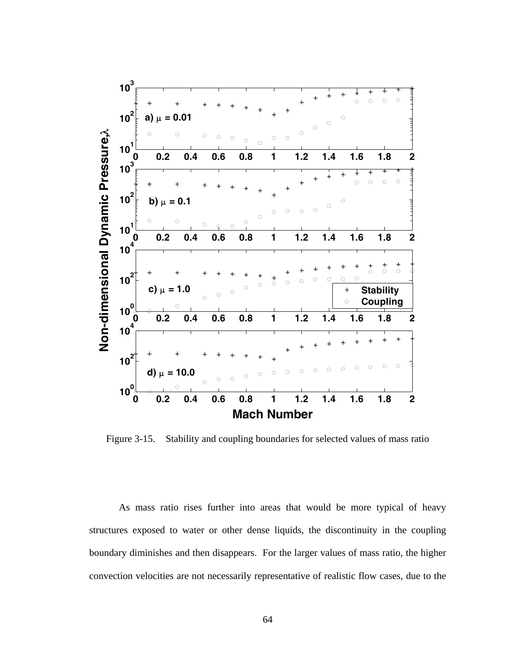

Figure 3-15. Stability and coupling boundaries for selected values of mass ratio

As mass ratio rises further into areas that would be more typical of heavy structures exposed to water or other dense liquids, the discontinuity in the coupling boundary diminishes and then disappears. For the larger values of mass ratio, the higher convection velocities are not necessarily representative of realistic flow cases, due to the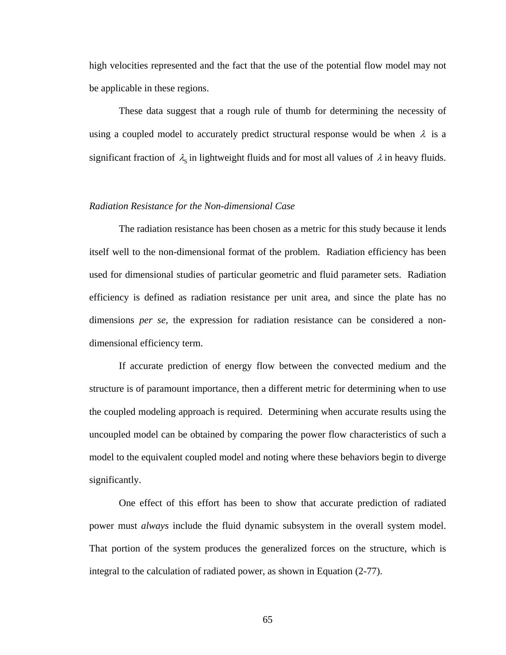high velocities represented and the fact that the use of the potential flow model may not be applicable in these regions.

These data suggest that a rough rule of thumb for determining the necessity of using a coupled model to accurately predict structural response would be when  $\lambda$  is a significant fraction of  $\lambda_s$  in lightweight fluids and for most all values of  $\lambda$  in heavy fluids.

## *Radiation Resistance for the Non-dimensional Case*

The radiation resistance has been chosen as a metric for this study because it lends itself well to the non-dimensional format of the problem. Radiation efficiency has been used for dimensional studies of particular geometric and fluid parameter sets. Radiation efficiency is defined as radiation resistance per unit area, and since the plate has no dimensions *per se*, the expression for radiation resistance can be considered a nondimensional efficiency term.

If accurate prediction of energy flow between the convected medium and the structure is of paramount importance, then a different metric for determining when to use the coupled modeling approach is required. Determining when accurate results using the uncoupled model can be obtained by comparing the power flow characteristics of such a model to the equivalent coupled model and noting where these behaviors begin to diverge significantly.

One effect of this effort has been to show that accurate prediction of radiated power must *always* include the fluid dynamic subsystem in the overall system model. That portion of the system produces the generalized forces on the structure, which is integral to the calculation of radiated power, as shown in Equation (2-77).

65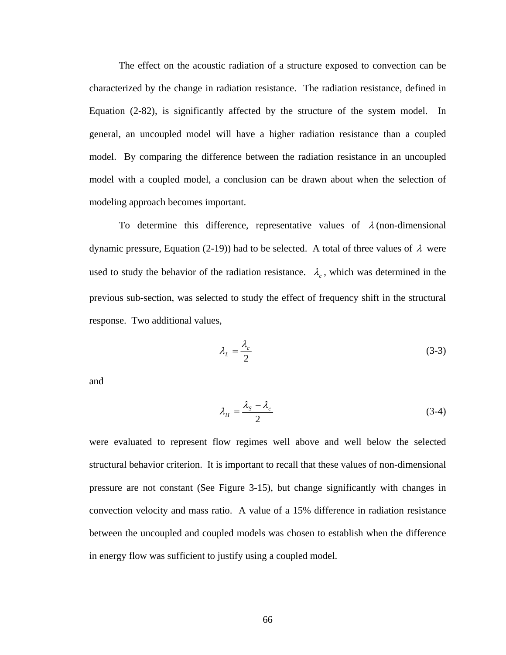The effect on the acoustic radiation of a structure exposed to convection can be characterized by the change in radiation resistance. The radiation resistance, defined in Equation (2-82), is significantly affected by the structure of the system model. In general, an uncoupled model will have a higher radiation resistance than a coupled model. By comparing the difference between the radiation resistance in an uncoupled model with a coupled model, a conclusion can be drawn about when the selection of modeling approach becomes important.

To determine this difference, representative values of  $\lambda$  (non-dimensional dynamic pressure, Equation (2-19)) had to be selected. A total of three values of  $\lambda$  were used to study the behavior of the radiation resistance.  $\lambda_c$ , which was determined in the previous sub-section, was selected to study the effect of frequency shift in the structural response. Two additional values,

$$
\lambda_L = \frac{\lambda_c}{2} \tag{3-3}
$$

and

$$
\lambda_H = \frac{\lambda_s - \lambda_c}{2} \tag{3-4}
$$

were evaluated to represent flow regimes well above and well below the selected structural behavior criterion. It is important to recall that these values of non-dimensional pressure are not constant (See Figure 3-15), but change significantly with changes in convection velocity and mass ratio. A value of a 15% difference in radiation resistance between the uncoupled and coupled models was chosen to establish when the difference in energy flow was sufficient to justify using a coupled model.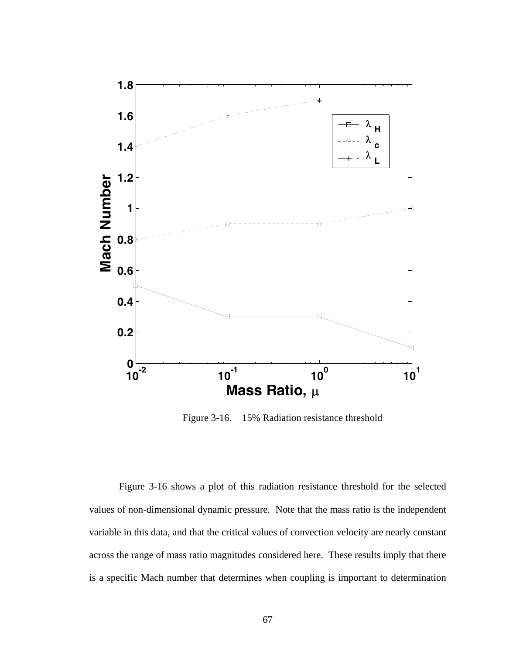

Figure 3-16. 15% Radiation resistance threshold

Figure 3-16 shows a plot of this radiation resistance threshold for the selected values of non-dimensional dynamic pressure. Note that the mass ratio is the independent variable in this data, and that the critical values of convection velocity are nearly constant across the range of mass ratio magnitudes considered here. These results imply that there is a specific Mach number that determines when coupling is important to determination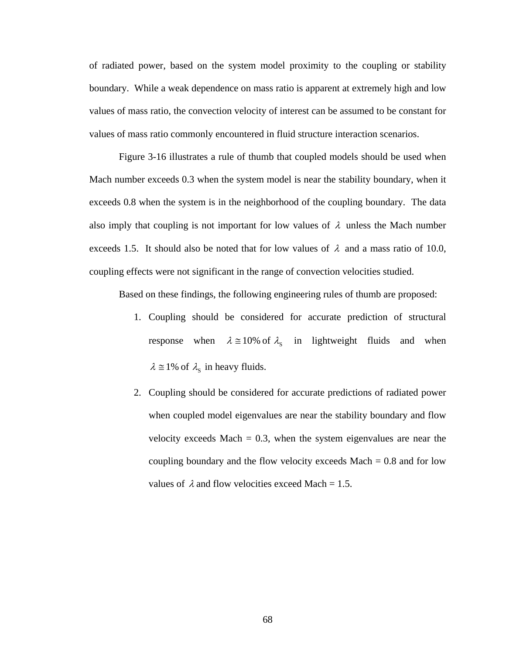of radiated power, based on the system model proximity to the coupling or stability boundary. While a weak dependence on mass ratio is apparent at extremely high and low values of mass ratio, the convection velocity of interest can be assumed to be constant for values of mass ratio commonly encountered in fluid structure interaction scenarios.

Figure 3-16 illustrates a rule of thumb that coupled models should be used when Mach number exceeds 0.3 when the system model is near the stability boundary, when it exceeds 0.8 when the system is in the neighborhood of the coupling boundary. The data also imply that coupling is not important for low values of  $\lambda$  unless the Mach number exceeds 1.5. It should also be noted that for low values of  $\lambda$  and a mass ratio of 10.0, coupling effects were not significant in the range of convection velocities studied.

Based on these findings, the following engineering rules of thumb are proposed:

- 1. Coupling should be considered for accurate prediction of structural response when  $\lambda \approx 10\%$  of  $\lambda_s$  in lightweight fluids and when  $\lambda \approx 1\%$  of  $\lambda_s$  in heavy fluids.
- 2. Coupling should be considered for accurate predictions of radiated power when coupled model eigenvalues are near the stability boundary and flow velocity exceeds Mach  $= 0.3$ , when the system eigenvalues are near the coupling boundary and the flow velocity exceeds  $Mach = 0.8$  and for low values of  $\lambda$  and flow velocities exceed Mach = 1.5.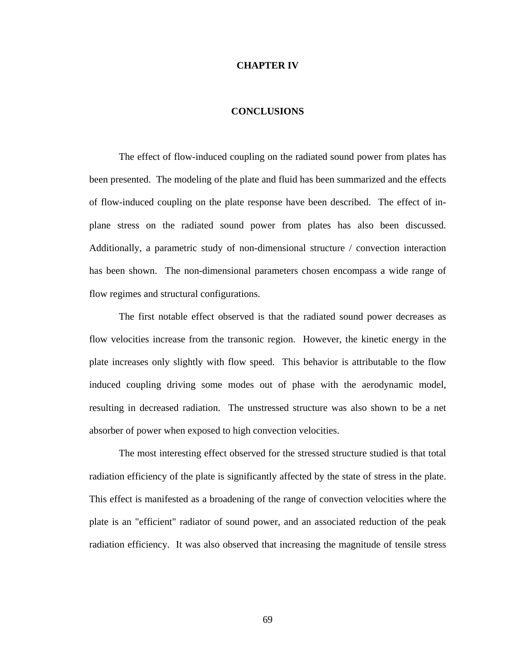## **CHAPTER IV**

## **CONCLUSIONS**

The effect of flow-induced coupling on the radiated sound power from plates has been presented. The modeling of the plate and fluid has been summarized and the effects of flow-induced coupling on the plate response have been described. The effect of inplane stress on the radiated sound power from plates has also been discussed. Additionally, a parametric study of non-dimensional structure / convection interaction has been shown. The non-dimensional parameters chosen encompass a wide range of flow regimes and structural configurations.

The first notable effect observed is that the radiated sound power decreases as flow velocities increase from the transonic region. However, the kinetic energy in the plate increases only slightly with flow speed. This behavior is attributable to the flow induced coupling driving some modes out of phase with the aerodynamic model, resulting in decreased radiation. The unstressed structure was also shown to be a net absorber of power when exposed to high convection velocities.

The most interesting effect observed for the stressed structure studied is that total radiation efficiency of the plate is significantly affected by the state of stress in the plate. This effect is manifested as a broadening of the range of convection velocities where the plate is an "efficient" radiator of sound power, and an associated reduction of the peak radiation efficiency. It was also observed that increasing the magnitude of tensile stress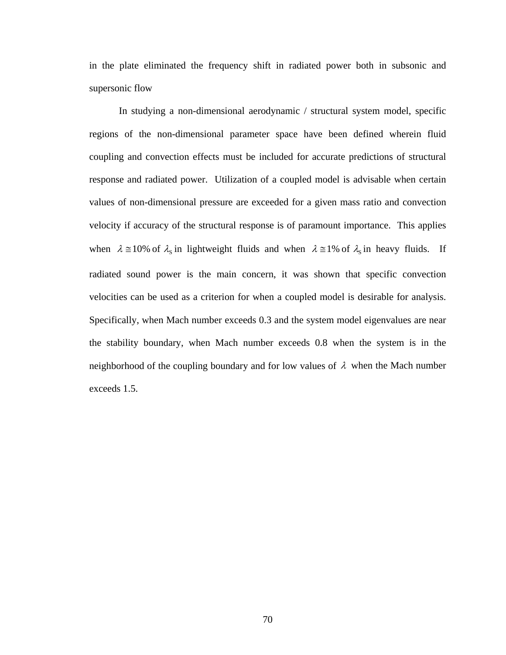in the plate eliminated the frequency shift in radiated power both in subsonic and supersonic flow

In studying a non-dimensional aerodynamic / structural system model, specific regions of the non-dimensional parameter space have been defined wherein fluid coupling and convection effects must be included for accurate predictions of structural response and radiated power. Utilization of a coupled model is advisable when certain values of non-dimensional pressure are exceeded for a given mass ratio and convection velocity if accuracy of the structural response is of paramount importance. This applies when  $\lambda \approx 10\%$  of  $\lambda_s$  in lightweight fluids and when  $\lambda \approx 1\%$  of  $\lambda_s$  in heavy fluids. If radiated sound power is the main concern, it was shown that specific convection velocities can be used as a criterion for when a coupled model is desirable for analysis. Specifically, when Mach number exceeds 0.3 and the system model eigenvalues are near the stability boundary, when Mach number exceeds 0.8 when the system is in the neighborhood of the coupling boundary and for low values of  $\lambda$  when the Mach number exceeds 1.5.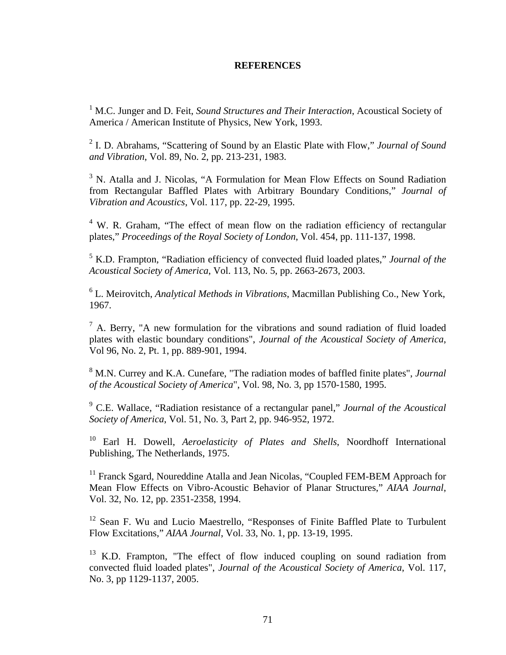## **REFERENCES**

<sup>1</sup> M.C. Junger and D. Feit, *Sound Structures and Their Interaction*, Acoustical Society of America / American Institute of Physics, New York, 1993.

2 I. D. Abrahams, "Scattering of Sound by an Elastic Plate with Flow," *Journal of Sound and Vibration*, Vol. 89, No. 2, pp. 213-231, 1983.

<sup>3</sup> N. Atalla and J. Nicolas, "A Formulation for Mean Flow Effects on Sound Radiation from Rectangular Baffled Plates with Arbitrary Boundary Conditions," *Journal of Vibration and Acoustics*, Vol. 117, pp. 22-29, 1995.

<sup>4</sup> W. R. Graham, "The effect of mean flow on the radiation efficiency of rectangular plates," *Proceedings of the Royal Society of London*, Vol. 454, pp. 111-137, 1998.

5 K.D. Frampton, "Radiation efficiency of convected fluid loaded plates," *Journal of the Acoustical Society of America*, Vol. 113, No. 5, pp. 2663-2673, 2003.

6 L. Meirovitch, *Analytical Methods in Vibrations*, Macmillan Publishing Co., New York, 1967.

 $<sup>7</sup>$  A. Berry, "A new formulation for the vibrations and sound radiation of fluid loaded</sup> plates with elastic boundary conditions", *Journal of the Acoustical Society of America*, Vol 96, No. 2, Pt. 1, pp. 889-901, 1994.

8 M.N. Currey and K.A. Cunefare, "The radiation modes of baffled finite plates", *Journal of the Acoustical Society of America*", Vol. 98, No. 3, pp 1570-1580, 1995.

9 C.E. Wallace, "Radiation resistance of a rectangular panel," *Journal of the Acoustical Society of America*, Vol. 51, No. 3, Part 2, pp. 946-952, 1972.

10 Earl H. Dowell, *Aeroelasticity of Plates and Shells*, Noordhoff International Publishing, The Netherlands, 1975.

<sup>11</sup> Franck Sgard, Noureddine Atalla and Jean Nicolas, "Coupled FEM-BEM Approach for Mean Flow Effects on Vibro-Acoustic Behavior of Planar Structures," *AIAA Journal*, Vol. 32, No. 12, pp. 2351-2358, 1994.

<sup>12</sup> Sean F. Wu and Lucio Maestrello, "Responses of Finite Baffled Plate to Turbulent Flow Excitations," *AIAA Journal*, Vol. 33, No. 1, pp. 13-19, 1995.

 $13$  K.D. Frampton, "The effect of flow induced coupling on sound radiation from convected fluid loaded plates", *Journal of the Acoustical Society of America*, Vol. 117, No. 3, pp 1129-1137, 2005.